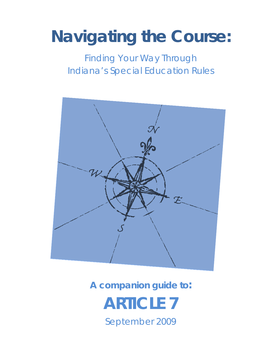# **Navigating the Course:**

Finding Your Way Through Indiana's Special Education Rules



**A companion guide to: ARTICLE 7** *September 2009*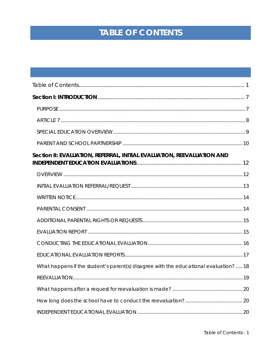# **TABLE OF CONTENTS**

<span id="page-1-0"></span>

| Section II: EVALUATION, REFERRAL, INITIAL EVALUATION, REEVALUATION AND              |  |
|-------------------------------------------------------------------------------------|--|
|                                                                                     |  |
|                                                                                     |  |
|                                                                                     |  |
|                                                                                     |  |
|                                                                                     |  |
|                                                                                     |  |
|                                                                                     |  |
|                                                                                     |  |
|                                                                                     |  |
| What happens if the student's parent(s) disagree with the educational evaluation?18 |  |
|                                                                                     |  |
|                                                                                     |  |
|                                                                                     |  |
|                                                                                     |  |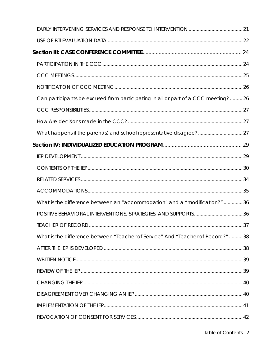| Can participants be excused from participating in all or part of a CCC meeting? 26 |    |
|------------------------------------------------------------------------------------|----|
|                                                                                    |    |
|                                                                                    |    |
|                                                                                    |    |
|                                                                                    |    |
|                                                                                    |    |
|                                                                                    |    |
|                                                                                    |    |
|                                                                                    |    |
| What is the difference between an "accommodation" and a "modification?"36          |    |
|                                                                                    |    |
| <b>TFACHER OF RECORD</b>                                                           | 37 |
| What is the difference between "Teacher of Service" And "Teacher of Record?"38     |    |
|                                                                                    |    |
|                                                                                    |    |
|                                                                                    |    |
|                                                                                    |    |
|                                                                                    |    |
|                                                                                    |    |
|                                                                                    |    |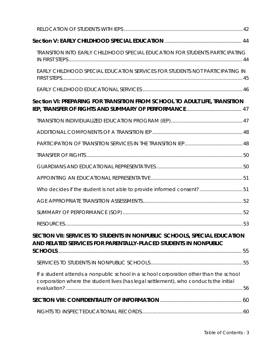| TRANSITION INTO EARLY CHILDHOOD SPECIAL EDUCATION FOR STUDENTS PARTICIPATING                                                                                                  |  |
|-------------------------------------------------------------------------------------------------------------------------------------------------------------------------------|--|
| EARLY CHILDHOOD SPECIAL EDUCATION SERVICES FOR STUDENTS NOT PARTICIPATING IN                                                                                                  |  |
|                                                                                                                                                                               |  |
| Section VI: PREPARING FOR TRANSITION FROM SCHOOL TO ADULT LIFE, TRANSITION                                                                                                    |  |
|                                                                                                                                                                               |  |
|                                                                                                                                                                               |  |
|                                                                                                                                                                               |  |
|                                                                                                                                                                               |  |
|                                                                                                                                                                               |  |
|                                                                                                                                                                               |  |
| Who decides if the student is not able to provide informed consent?51                                                                                                         |  |
|                                                                                                                                                                               |  |
|                                                                                                                                                                               |  |
|                                                                                                                                                                               |  |
| SECTION VII: SERVICES TO STUDENTS IN NONPUBLIC SCHOOLS, SPECIAL EDUCATION<br>AND RELATED SERVICES FOR PARENTALLY-PLACED STUDENTS IN NONPUBLIC                                 |  |
|                                                                                                                                                                               |  |
|                                                                                                                                                                               |  |
| If a student attends a nonpublic school in a school corporation other than the school<br>corporation where the student lives (has legal settlement), who conducts the initial |  |
|                                                                                                                                                                               |  |
|                                                                                                                                                                               |  |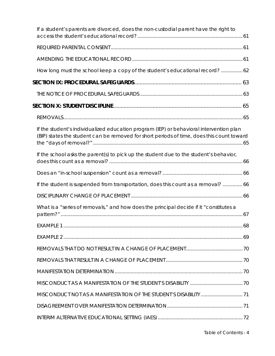| If a student's parents are divorced, does the non-custodial parent have the right to                                                                                                 |    |  |  |
|--------------------------------------------------------------------------------------------------------------------------------------------------------------------------------------|----|--|--|
|                                                                                                                                                                                      |    |  |  |
|                                                                                                                                                                                      |    |  |  |
| How long must the school keep a copy of the student's educational record? 62                                                                                                         |    |  |  |
|                                                                                                                                                                                      |    |  |  |
|                                                                                                                                                                                      |    |  |  |
|                                                                                                                                                                                      |    |  |  |
|                                                                                                                                                                                      |    |  |  |
| If the student's individualized education program (IEP) or behavioral intervention plan<br>(BIP) states the student can be removed for short periods of time, does this count toward |    |  |  |
| If the school asks the parent(s) to pick up the student due to the student's behavior,                                                                                               |    |  |  |
|                                                                                                                                                                                      |    |  |  |
| If the student is suspended from transportation, does this count as a removal?  66                                                                                                   |    |  |  |
|                                                                                                                                                                                      |    |  |  |
| What is a "series of removals," and how does the principal decide if it "constitutes a                                                                                               |    |  |  |
| FXAMPLE 1                                                                                                                                                                            | 68 |  |  |
|                                                                                                                                                                                      |    |  |  |
|                                                                                                                                                                                      |    |  |  |
|                                                                                                                                                                                      |    |  |  |
|                                                                                                                                                                                      |    |  |  |
|                                                                                                                                                                                      |    |  |  |
|                                                                                                                                                                                      |    |  |  |
|                                                                                                                                                                                      |    |  |  |
|                                                                                                                                                                                      |    |  |  |

Table of Contents - 4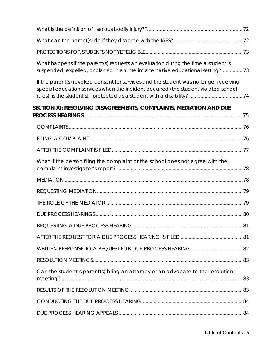| What happens if the parent(s) requests an evaluation during the time a student is<br>suspended, expelled, or placed in an interim alternative educational setting? 73       |  |
|-----------------------------------------------------------------------------------------------------------------------------------------------------------------------------|--|
| If the parent(s) revoked consent for services and the student was no longer receiving<br>special education services when the incident occurred (the student violated school |  |
| SECTION XI: RESOLVING DISAGREEMENTS, COMPLAINTS, MEDIATION AND DUE                                                                                                          |  |
|                                                                                                                                                                             |  |
|                                                                                                                                                                             |  |
|                                                                                                                                                                             |  |
| What if the person filing the complaint or the school does not agree with the                                                                                               |  |
|                                                                                                                                                                             |  |
|                                                                                                                                                                             |  |
|                                                                                                                                                                             |  |
|                                                                                                                                                                             |  |
|                                                                                                                                                                             |  |
|                                                                                                                                                                             |  |
|                                                                                                                                                                             |  |
|                                                                                                                                                                             |  |
| Can the student's parent(s) bring an attorney or an advocate to the resolution                                                                                              |  |
|                                                                                                                                                                             |  |
|                                                                                                                                                                             |  |
|                                                                                                                                                                             |  |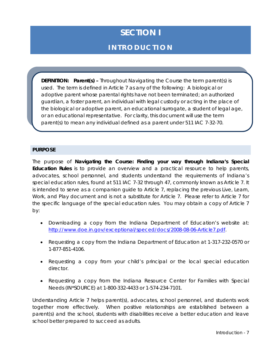# **SECTION I**

### **INTRODUCTION**

<span id="page-7-0"></span>**DEFINITION: Parent(s) –** Throughout *Navigating the Course* the term parent(s) is used. The term is defined in Article 7 as any of the following: A biological or adoptive parent whose parental rights have not been terminated; an authorized guardian, a foster parent, an individual with legal custody or acting in the place of the biological or adoptive parent, an educational surrogate, a student of legal age, or an educational representative. For clarity, this document will use the term parent(s) to mean any individual defined as a parent under 511 IAC 7-32-70.

#### <span id="page-7-1"></span>**PURPOSE**

The purpose of *Navigating the Course: Finding your way through Indiana's Special Education Rules* is to provide an overview and a practical resource to help parents, advocates, school personnel, and students understand the requirements of Indiana's special education rules, found at 511 IAC 7-32 through 47, commonly known as Article 7. It is intended to serve as a companion guide to Article 7, replacing the previous *Live, Learn, Work, and Play* document and is not a substitute for Article 7. Please refer to Article 7 for the specific language of the special education rules. You may obtain a copy of Article 7 by:

- Downloading a copy from the Indiana Department of Education's website at: [http://www.doe.in.gov/exceptional/speced/docs/2008-08-06-Article7.pdf.](http://www.doe.in.gov/exceptional/speced/docs/2008-08-06-Article7.pdf)
- Requesting a copy from the Indiana Department of Education at 1-317-232-0570 or 1-877-851-4106.
- Requesting a copy from your child's principal or the local special education director.
- Requesting a copy from the Indiana Resource Center for Families with Special Needs (IN\*SOURCE) at 1-800-332-4433 or 1-574-234-7101.

Understanding Article 7 helps parent(s), advocates, school personnel, and students work together more effectively. When positive relationships are established between a parent(s) and the school, students with disabilities receive a better education and leave school better prepared to succeed as adults.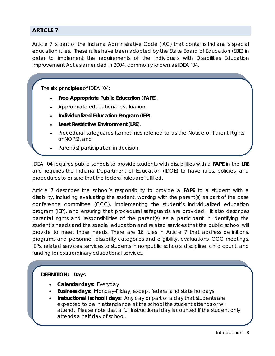#### <span id="page-8-0"></span>**ARTICLE 7**

Article 7 is part of the Indiana Administrative Code (IAC) that contains Indiana's special education rules. These rules have been adopted by the State Board of Education (SBE) in order to implement the requirements of the Individuals with Disabilities Education Improvement Act as amended in 2004, commonly known as IDEA '04.

The **six principles** of IDEA '04:

- **Free Appropriate Public Education** (**FAPE**),
- Appropriate educational evaluation,
- **Individualized Education Program** (**IEP**),
- **Least Restrictive Environment** (**LRE**),
- Procedural safeguards (sometimes referred to as the Notice of Parent Rights or NOPS), and
- Parent(s) participation in decision.

IDEA '04 requires public schools to provide students with disabilities with a **FAPE** in the **LRE** and requires the Indiana Department of Education (IDOE) to have rules, policies, and procedures to ensure that the federal rules are fulfilled.

Article 7 describes the school's responsibility to provide a **FAPE** to a student with a disability, including evaluating the student, working with the parent(s) as part of the case conference committee (CCC), implementing the student's individualized education program (IEP), and ensuring that procedural safeguards are provided. It also describes parental rights and responsibilities of the parent(s) as a participant in identifying the student's needs and the special education and related services that the public school will provide to meet those needs. There are 16 rules in Article 7 that address definitions, programs and personnel, disability categories and eligibility, evaluations, CCC meetings, IEPs, related services, services to students in nonpublic schools, discipline, child count, and funding for extraordinary educational services.

#### **DEFINITION: Days**

- **Calendar days:** Everyday
- **Business days:** Monday-Friday, except federal and state holidays
- **Instructional (school) days:** Any day or part of a day that students are expected to be in attendance at the school the student attends or will attend. Please note that a full instructional day is counted if the student only attends a half day of school.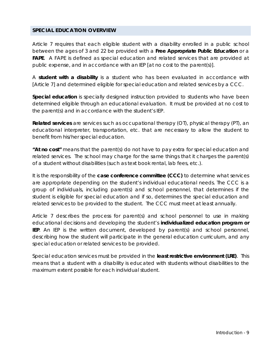#### <span id="page-9-0"></span>**SPECIAL EDUCATION OVERVIEW**

Article 7 requires that each eligible student with a disability enrolled in a public school between the ages of 3 and 22 be provided with a **Free Appropriate Public Education** or a **FAPE**. A FAPE is defined as special education and related services that are provided at public expense, and in accordance with an IEP [at no cost to the parent(s)].

A **student with a disability** is a student who has been evaluated in accordance with [Article 7] and determined eligible for special education and related services by a CCC.

**Special education** is specially designed instruction provided to students who have been determined eligible through an educational evaluation. It must be provided at no cost to the parent(s) and in accordance with the student's IEP.

**Related services** are services such as occupational therapy (OT), physical therapy (PT), an educational interpreter, transportation, etc. that are necessary to allow the student to benefit from his/her special education.

**"At no cost"** means that the parent(s) do not have to pay extra for special education and related services. The school may charge for the same things that it charges the parent(s) of a student without disabilities (such as text book rental, lab fees, etc.).

It is the responsibility of the **case conference committee (CCC)** to determine what services are appropriate depending on the student's individual educational needs. The CCC is a group of individuals, including parent(s) and school personnel, that determines if the student is eligible for special education and if so, determines the special education and related services to be provided to the student. The CCC must meet at least annually.

Article 7 describes the process for parent(s) and school personnel to use in making educational decisions and developing the student's **individualized education program or IEP**. An IEP is the written document, developed by parent(s) and school personnel, describing how the student will participate in the general education curriculum, and any special education or related services to be provided.

Special education services must be provided in the **least restrictive environment (LRE)**. This means that a student with a disability is educated with students without disabilities to the maximum extent possible for each individual student.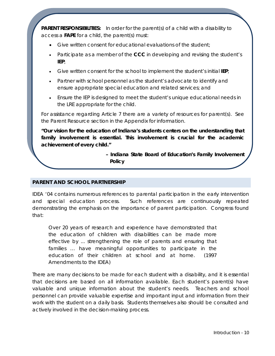**PARENT RESPONSIBILITIES:** In order for the parent(s) of a child with a disability to access a **FAPE** for a child, the parent(s) must:

- Give written consent for educational evaluations of the student;
- Participate as a member of the **CCC** in developing and revising the student's **IEP**;
- Give written consent for the school to implement the student's initial **IEP**;
- Partner with school personnel as the student's advocate to identify and ensure appropriate special education and related services; and
- Ensure the IEP is designed to meet the student's unique educational needs in the LRE appropriate for the child.

For assistance regarding Article 7 there are a variety of resources for parent(s). See the *Parent Resource* section in the Appendix for information.

*"Our vision for the education of Indiana's students centers on the understanding that*  family involvement is essential. This involvement is crucial for the academic *achievement of every child."*

**– Indiana State Board of Education's Family Involvement Policy**

#### <span id="page-10-0"></span>**PARENT AND SCHOOL PARTNERSHIP**

IDEA '04 contains numerous references to parental participation in the early intervention and special education process. Such references are continuously repeated demonstrating the emphasis on the importance of parent participation. Congress found that:

*Over 20 years of research and experience have demonstrated that the education of children with disabilities can be made more effective by ... strengthening the role of parents and ensuring that families … have meaningful opportunities to participate in the education of their children at school and at home. (*1997 Amendments to the IDEA)

There are many decisions to be made for each student with a disability, and it is essential that decisions are based on all information available. Each student's parent(s) have valuable and unique information about the student's needs. Teachers and school personnel can provide valuable expertise and important input and information from their work with the student on a daily basis. Students themselves also should be consulted and actively involved in the decision-making process.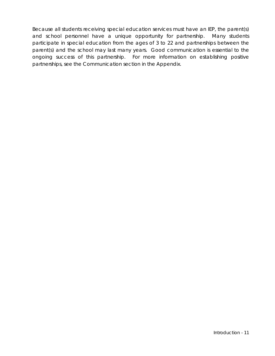Because all students receiving special education services must have an IEP, the parent(s) and school personnel have a unique opportunity for partnership. Many students participate in special education from the ages of 3 to 22 and partnerships between the parent(s) and the school may last many years. Good communication is essential to the ongoing success of this partnership. For more information on establishing positive partnerships, see the *Communication* section in the Appendix.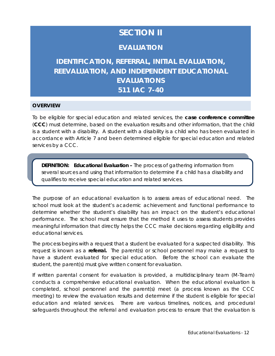# **SECTION II**

### **EVALUATION**

### <span id="page-12-0"></span>**IDENTIFICATION, REFERRAL, INITIAL EVALUATION, REEVALUATION, AND INDEPENDENT EDUCATIONAL EVALUATIONS 511 IAC 7-40**

#### <span id="page-12-1"></span>**OVERVIEW**

To be eligible for special education and related services, the **case conference committee** (**CCC**) must determine, based on the evaluation results and other information, that the child is a student with a disability. A student with a disability is a child who has been evaluated in accordance with Article 7 and been determined eligible for special education and related services by a CCC.

**DEFINITION: Educational Evaluation –** The process of gathering information from several sources and using that information to determine if a child has a disability and qualifies to receive special education and related services.

The purpose of an educational evaluation is to assess areas of educational need. The school must look at the student's academic achievement and functional performance to determine whether the student's disability has an impact on the student's educational performance. The school must ensure that the method it uses to assess students provides meaningful information that directly helps the CCC make decisions regarding eligibility and educational services.

The process begins with a request that a student be evaluated for a suspected disability. This request is known as a **referral.** The parent(s) or school personnel may make a request to have a student evaluated for special education. Before the school can evaluate the student, the parent(s) must give written consent for evaluation.

If written parental consent for evaluation is provided, a multidisciplinary team (M-Team) conducts a comprehensive educational evaluation. When the educational evaluation is completed, school personnel and the parent(s) meet (a process known as the CCC meeting) to review the evaluation results and determine if the student is eligible for special education and related services. There are various timelines, notices, and procedural safeguards throughout the referral and evaluation process to ensure that the evaluation is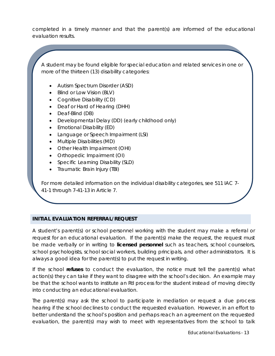completed in a timely manner and that the parent(s) are informed of the educational evaluation results.

A student may be found eligible for special education and related services in one or more of the thirteen (13) disability categories:

- Autism Spectrum Disorder (ASD)
- Blind or Low Vision (BLV)
- Cognitive Disability (CD)
- Deaf or Hard of Hearing (DHH)
- Deaf-Blind (DB)
- Developmental Delay (DD) (early childhood only)
- Emotional Disability (ED)
- Language or Speech Impairment (LSI)
- Multiple Disabilities (MD)
- Other Health Impairment (OHI)
- Orthopedic Impairment (OI)
- Specific Learning Disability (SLD)
- Traumatic Brain Injury (TBI)

For more detailed information on the individual disability categories, see 511 IAC 7- 41-1 through 7-41-13 in Article 7.

#### <span id="page-13-0"></span>**INITIAL EVALUATION REFERRAL/REQUEST**

A student's parent(s) or school personnel working with the student may make a referral or request for an educational evaluation. If the parent(s) make the request, the request must be made verbally or in writing to **licensed personnel** such as teachers, school counselors, school psychologists, school social workers, building principals, and other administrators. It is always a good idea for the parent(s) to put the request in writing.

If the school **refuses** to conduct the evaluation, the notice must tell the parent(s) what action(s) they can take if they want to disagree with the school's decision. An example may be that the school wants to institute an RtI process for the student instead of moving directly into conducting an educational evaluation.

The parent(s) may ask the school to participate in mediation or request a due process hearing if the school declines to conduct the requested evaluation. However, in an effort to better understand the school's position and perhaps reach an agreement on the requested evaluation, the parent(s) may wish to meet with representatives from the school to talk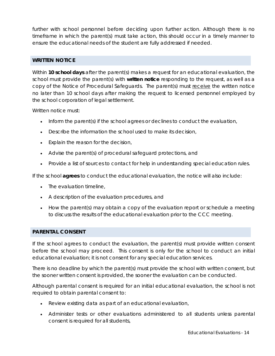further with school personnel before deciding upon further action. Although there is no timeframe in which the parent(s) must take action, this should occur in a timely manner to ensure the educational needs of the student are fully addressed if needed.

#### <span id="page-14-0"></span>**WRITTEN NOTICE**

Within **10 school days** after the parent(s) makes a request for an educational evaluation, the school must provide the parent(s) with **written notice** responding to the request, as well as a copy of the *Notice of Procedural Safeguards*. The parent(s) must receive the written notice no later than 10 school days after making the request to licensed personnel employed by the school corporation of legal settlement.

Written notice must:

- Inform the parent(s) if the school agrees or declines to conduct the evaluation,
- Describe the information the school used to make its decision,
- Explain the reason for the decision,
- Advise the parent(s) of procedural safeguard protections, and
- Provide a list of sources to contact for help in understanding special education rules.

If the school **agrees** to conduct the educational evaluation, the notice will *also* include:

- The evaluation timeline
- A description of the evaluation procedures, and
- How the parent(s) may obtain a copy of the evaluation report or schedule a meeting to discuss the results of the educational evaluation prior to the CCC meeting.

#### <span id="page-14-1"></span>**PARENTAL CONSENT**

If the school agrees to conduct the evaluation, the parent(s) must provide written consent before the school may proceed. This consent is only for the school to conduct an initial educational evaluation; it is not consent for any special education services.

There is no deadline by which the parent(s) must provide the school with written consent, but the sooner written consent is provided, the sooner the evaluation can be conducted.

Although parental consent is required for an initial educational evaluation, the school is not required to obtain parental consent to:

- Review existing data as part of an educational evaluation,
- Administer tests or other evaluations administered to all students unless parental consent is required for all students,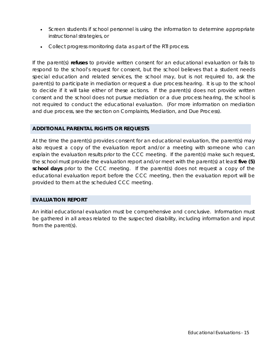- Screen students if school personnel is using the information to determine appropriate instructional strategies, or
- Collect progress monitoring data as part of the RTI process.

If the parent(s) **refuses** to provide written consent for an educational evaluation or fails to respond to the school's request for consent, but the school believes that a student needs special education and related services, the school may, but is not required to, ask the parent(s) to participate in mediation or request a due process hearing. It is up to the school to decide if it will take either of these actions. If the parent(s) does not provide written consent and the school does not pursue mediation or a due process hearing, the school is not required to conduct the educational evaluation. (For more information on mediation and due process, see the section on *Complaints, Mediation, and Due Process*).

#### <span id="page-15-0"></span>**ADDITIONAL PARENTAL RIGHTS OR REQUESTS**

At the time the parent(s) provides consent for an educational evaluation, the parent(s) may also request a copy of the evaluation report and/or a meeting with someone who can explain the evaluation results prior to the CCC meeting. If the parent(s) make such request, the school must provide the evaluation report and/or meet with the parent(s) at least **five (5) school days** prior to the CCC meeting. If the parent(s) does not request a copy of the educational evaluation report before the CCC meeting, then the evaluation report will be provided to them at the scheduled CCC meeting.

#### <span id="page-15-1"></span>**EVALUATION REPORT**

An initial educational evaluation must be comprehensive and conclusive. Information must be gathered in all areas related to the suspected disability, including information and input from the parent(s).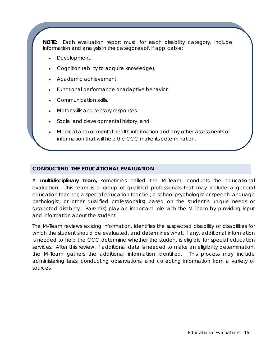**NOTE:** Each evaluation report must, for each disability category, include information and analysis in the categories of, if applicable:

- Development,
- Cognition (ability to acquire knowledge),
- Academic achievement,
- Functional performance or adaptive behavior,
- Communication skills,
- Motor skills and sensory responses,
- Social and developmental history, and
- Medical and/or mental health information and any other assessments or information that will help the CCC make its determination.

#### <span id="page-16-0"></span>**CONDUCTING THE EDUCATIONAL EVALUATION**

A **multidisciplinary team,** sometimes called the M-Team, conducts the educational evaluation. This team is a group of qualified professionals that may include a general education teacher; a special education teacher; a school psychologist or speech language pathologist; or other qualified professional(s) based on the student's unique needs or suspected disability. Parent(s) play an important role with the M-Team by providing input and information about the student.

The M-Team reviews existing information, identifies the suspected disability or disabilities for which the student should be evaluated, and determines what, if any, additional information is needed to help the CCC determine whether the student is eligible for special education services. After this review, if additional data is needed to make an eligibility determination, the M-Team gathers the additional information identified. This process may include administering tests, conducting observations, and collecting information from a variety of sources.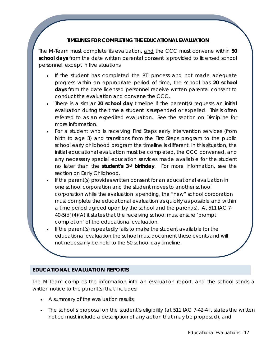#### **TIMELINES FOR COMPLETING THE EDUCATIONAL EVALUATION**

The M-Team must complete its evaluation, and the CCC must convene within **50 school days** from the date written parental consent is provided to licensed school personnel, except in five situations.

- If the student has completed the RTI process and not made adequate progress within an appropriate period of time, the school has **20 school days** from the date licensed personnel receive written parental consent to conduct the evaluation and convene the CCC.
- There is a similar **20 school day** timeline if the parent(s) requests an initial evaluation during the time a student is suspended or expelled. This is often referred to as an expedited evaluation. See the section on *Discipline* for more information.
- For a student who is receiving *First Steps* early intervention services (from birth to age 3) and transitions from the *First Steps* program to the public school early childhood program the timeline is different. In this situation, the initial educational evaluation must be completed, the CCC convened, and any necessary special education services made available for the student no later than the **student's 3rd birthday**. For more information, see the section on *Early Childhood*.
- If the parent(s) provides written consent for an educational evaluation in one school corporation and the student moves to another school corporation while the evaluation is pending, the "new" school corporation must complete the educational evaluation as quickly as possible and within a time period agreed upon by the school and the parent(s). At 511 IAC 7- 40-5(d)(4)(A) it states that the receiving school must ensure 'prompt completion' of the educational evaluation.
- If the parent(s) repeatedly fails to make the student available for the educational evaluation the school must document these events and will not necessarily be held to the 50 school day timeline.

#### <span id="page-17-0"></span>**EDUCATIONAL EVALUATION REPORTS**

The M-Team compiles the information into an evaluation report, and the school sends a written notice to the parent(s) that includes:

- A summary of the evaluation results,
- The school's proposal on the student's eligibility (at 511 IAC 7-42-4 it states the written notice must include a description of any action that may be proposed), and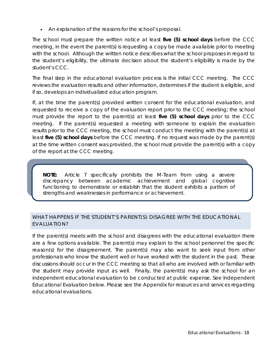• An explanation of the reasons for the school's proposal.

The school must prepare the written notice at least **five (5) school days** before the CCC meeting, in the event the parent(s) is requesting a copy be made available prior to meeting with the school. Although the written notice describes what the school proposes in regard to the student's eligibility, the ultimate decision about the student's eligibility is made by the student's CCC.

The final step in the educational evaluation process is the initial CCC meeting. The CCC reviews the evaluation results and other information, determines if the student is eligible, and if so, develops an individualized education program.

If, at the time the parent(s) provided written consent for the educational evaluation, and requested to receive a copy of the evaluation report prior to the CCC meeting; the school must provide the report to the parent(s) at least **five (5) school days** prior to the CCC meeting. If the parent(s) requested a meeting with someone to explain the evaluation results prior to the CCC meeting, the school must conduct the meeting with the parent(s) at least **five (5) school days** before the CCC meeting. If no request was made by the parent(s) at the time written consent was provided, the school must provide the parent(s) with a copy of the report at the CCC meeting.

**NOTE:** Article 7 specifically prohibits the M-Team from using a severe discrepancy between academic achievement and global cognitive functioning to demonstrate or establish that the student exhibits a pattern of strengths and weaknesses in performance or achievement.

#### <span id="page-18-0"></span>WHAT HAPPENS IF THE STUDENT'S PARENT(S) DISAGREE WITH THE EDUCATIONAL EVALUATION?

If the parent(s) meets with the school and disagrees with the educational evaluation there are a few options available. The parent(s) may explain to the school personnel the specific reason(s) for the disagreement. The parent(s) may also want to seek input from other professionals who know the student well or have worked with the student in the past. These discussions should occur in the CCC meeting so that all who are involved with or familiar with the student may provide input as well. Finally, the parent(s) may ask the school for an independent educational evaluation to be conducted at public expense. See *Independent Educational Evaluation* below. Please see the *Appendix* for resources and services regarding educational evaluations.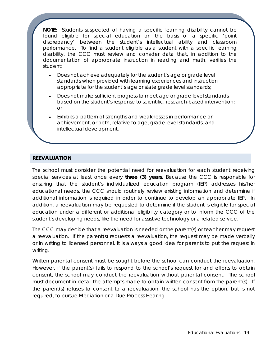**NOTE:** Students suspected of having a specific learning disability cannot be found eligible for special education on the basis of a specific 'point discrepancy' between the student's intellectual ability and classroom performance. To find a student eligible as a student with a specific learning disability, the CCC must review and consider data that, in addition to the documentation of appropriate instruction in reading and math, verifies the student:

- Does not achieve adequately for the student's age or grade level standards when provided with learning experiences and instruction appropriate for the student's age or state grade level standards;
- Does not make sufficient progress to meet age or grade level standards based on the student's response to scientific, research-based intervention; or
- Exhibits a pattern of strengths and weaknesses in performance or achievement, or both, relative to age, grade level standards, and intellectual development.

#### <span id="page-19-0"></span>**REEVALUATION**

The school must consider the potential need for reevaluation for each student receiving special services at least once every **three (3) years**. Because the CCC is responsible for ensuring that the student's individualized education program (IEP) addresses his/her educational needs, the CCC should routinely review existing information and determine if additional information is required in order to continue to develop an appropriate IEP. In addition, a reevaluation may be requested to determine if the student is eligible for special education under a different or additional eligibility category or to inform the CCC of the student's developing needs, like the need for assistive technology or a related service.

The CCC may decide that a reevaluation is needed or the parent(s) or teacher may request a reevaluation. If the parent(s) requests a reevaluation, the request may be made verbally or in writing to licensed personnel. It is always a good idea for parents to put the request in writing.

Written parental consent must be sought before the school can conduct the reevaluation. However, if the parent(s) fails to respond to the school's request for and efforts to obtain consent, the school may conduct the reevaluation without parental consent. The school must document in detail the attempts made to obtain written consent from the parent(s). If the parent(s) refuses to consent to a reevaluation, the school has the option, but is not required, to pursue Mediation or a Due Process Hearing.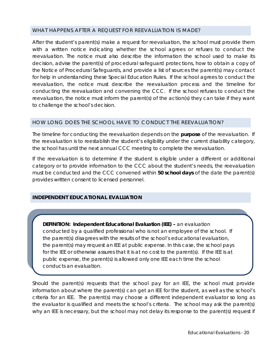#### <span id="page-20-0"></span>WHAT HAPPENS AFTER A REQUEST FOR REEVALUATION IS MADE?

After the student's parent(s) make a request for reevaluation, the school must provide them with a written notice indicating whether the school agrees or refuses to conduct the reevaluation. The notice must also describe the information the school used to make its decision, advise the parent(s) of procedural safeguard protections, how to obtain a copy of the *Notice of Procedural Safeguards*, and provide a list of sources the parent(s) may contact for help in understanding these *Special Education Rules*. If the school agrees to conduct the reevaluation, the notice must describe the reevaluation process and the timeline for conducting the reevaluation and convening the CCC. If the school refuses to conduct the reevaluation, the notice must inform the parent(s) of the action(s) they can take if they want to challenge the school's decision.

#### <span id="page-20-1"></span>HOW LONG DOES THE SCHOOL HAVE TO CONDUCT THE REEVALUATION?

The timeline for conducting the reevaluation depends on the **purpose** of the reevaluation. If the reevaluation is to reestablish the student's eligibility under the current disability category, the school has until the next annual CCC meeting to complete the reevaluation.

If the reevaluation is to determine if the student is eligible under a different or additional category or to provide information to the CCC about the student's needs, the reevaluation must be conducted and the CCC convened within **50 school days** of the date the parent(s) provides written consent to licensed personnel.

#### <span id="page-20-2"></span>**INDEPENDENT EDUCATIONAL EVALUATION**

**DEFINITION: Independent Educational Evaluation (IEE) –** an evaluation conducted by a qualified professional who is not an employee of the school. If the parent(s) disagrees with the results of the school's educational evaluation, the parent(s) may request an IEE at public expense. In this case, the school pays for the IEE or otherwise assures that it is at no cost to the parent(s). If the IEE is at public expense, the parent(s) is allowed only one IEE each time the school conducts an evaluation.

Should the parent(s) requests that the school pay for an IEE, the school must provide information about where the parent(s) can get an IEE for the student, as well as the school's criteria for an IEE. The parent(s) may choose a different independent evaluator so long as the evaluator is qualified and meets the school's criteria. The school may ask the parent(s) why an IEE is necessary, but the school may not delay its response to the parent(s) request if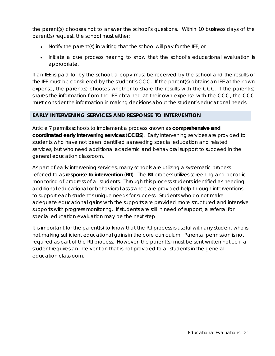the parent(s) chooses not to answer the school's questions. Within 10 business days of the parent(s) request, the school must either:

- Notify the parent(s) in writing that the school will pay for the IEE; or
- Initiate a due process hearing to show that the school's educational evaluation is appropriate.

If an IEE is paid for by the school, a copy must be received by the school and the results of the IEE must be considered by the student's CCC. If the parent(s) obtains an IEE at their own expense, the parent(s) chooses whether to share the results with the CCC. If the parent(s) shares the information from the IEE obtained at their own expense with the CCC, the CCC must consider the information in making decisions about the student's educational needs.

#### <span id="page-21-0"></span>**EARLY INTERVENING SERVICES AND RESPONSE TO INTERVENTION**

Article 7 permits schools to implement a process known as **comprehensive and coordinated early intervening services** (**CCEIS**). Early intervening services are provided to students who *have not been identified* as needing special education and related services, but who need additional academic and behavioral support to succeed in the general education classroom.

As part of early intervening services, many schools are utilizing a systematic process referred to as **response to intervention** (**RtI**). The **RtI** process utilizes screening and periodic monitoring of progress of all students. Through this process students identified as needing additional educational or behavioral assistance are provided help through interventions to support each student's unique needs for success. Students who do not make adequate educational gains with the supports are provided more structured and intensive supports with progress monitoring. If students are still in need of support, a referral for special education evaluation may be the next step.

It is important for the parent(s) to know that the RtI process is useful with any student who is not making sufficient educational gains in the core curriculum. Parental permission is not required as part of the RtI process. However, the parent(s) must be sent written notice if a student requires an intervention that is not provided to all students in the general education classroom.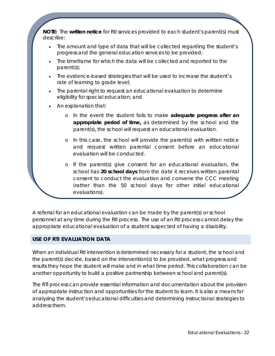**NOTE:** The **written notice** for RtI services provided to each student's parent(s) must describe:

- The amount and type of data that will be collected regarding the student's progress and the general education services to be provided;
- The timeframe for which the data will be collected and reported to the parent(s);
- The evidence-based strategies that will be used to increase the student's rate of learning to grade level;
- The parental right to request an educational evaluation to determine eligibility for special education; and
- An explanation that:
	- o In the event the student *fails* to make **adequate progress after an appropriate period of time,** as determined by the school and the parent(s), the school will request an educational evaluation.
	- o In this case, the school will provide the parent(s) with written notice and request written parental consent before an educational evaluation will be conducted.
	- o If the parent(s) give consent for an educational evaluation, the school has **20 school days** from the date it receives written parental consent to conduct the evaluation and convene the CCC meeting (rather than the 50 school days for other initial educational evaluations)*.*

A referral for an educational evaluation can be made by the parent(s) or school personnel at any time during the RtI process. The use of an RtI process cannot delay the appropriate educational evaluation of a student suspected of having a disability.

#### <span id="page-22-0"></span>**USE OF RTI EVALUATION DATA**

When an individual RtI intervention is determined necessary for a student, the school and the parent(s) decide, based on the intervention(s) to be provided, what progress and results they hope the student will make and in what time period. This collaboration can be another opportunity to build a positive partnership between school and parent(s).

The RTI process can provide essential information and documentation about the provision of appropriate instruction and opportunities for the student to learn. It is also a means for analyzing the student's educational difficulties and determining instructional strategies to address them.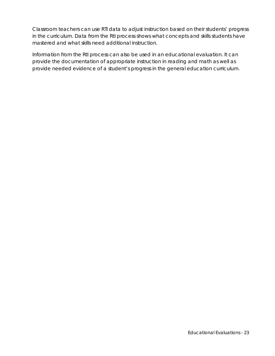Classroom teachers can use RTI data to adjust instruction based on their students' progress in the curriculum. Data from the RtI process shows what concepts and skills students have mastered and what skills need additional instruction.

Information from the RtI process can also be used in an educational evaluation. It can provide the documentation of appropriate instruction in reading and math as well as provide needed evidence of a student's progress in the general education curriculum.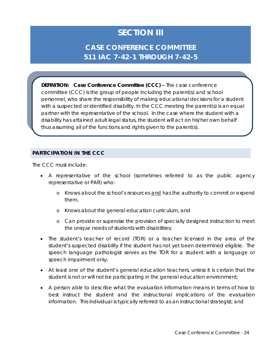# **SECTION III**

## <span id="page-24-0"></span>**CASE CONFERENCE COMMITTEE 511 IAC 7-42-1 THROUGH 7-42-5**

**DEFINITION: Case Conference Committee (CCC) –** The case conference committee (CCC) is the group of people including the parent(s) and school personnel, who share the responsibility of making educational decisions for a student with a suspected or identified disability. In the CCC meeting the parent(s) is an equal partner with the representative of the school. In the case where the student with a disability has attained adult legal status, the student will act on his/her own behalf thus assuming all of the functions and rights given to the parent(s).

#### <span id="page-24-1"></span>**PARTICIPATION IN THE CCC**

The CCC must include:

- A representative of the school (sometimes referred to as the public agency representative or PAR) who:
	- o Knows about the school's resources and has the authority to commit or expend them,
	- o Knows about the general education curriculum, and
	- o Can provide or supervise the provision of specially designed instruction to meet the unique needs of students with disabilities;
- The student's teacher of record (TOR) or a teacher licensed in the area of the student's suspected disability if the student has not yet been determined eligible. The speech language pathologist serves as the TOR for a student with a language or speech impairment only;
- At least one of the student's general education teachers, unless it is certain that the student is not or will not be participating in the general education environment;
- A person able to describe what the evaluation information means in terms of how to best instruct the student and the instructional implications of the evaluation information. This individual is typically referred to as an instructional strategist; and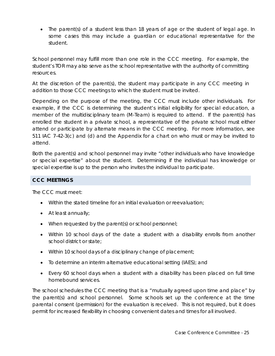• The parent(s) of a student less than 18 years of age or the student of legal age. In some cases this may include a guardian or educational representative for the student.

School personnel may fulfill more than one role in the CCC meeting. For example, the student's TOR may also serve as the school representative with the authority of committing resources.

At the discretion of the parent(s), the student may participate in any CCC meeting in addition to those CCC meetings to which the student must be invited.

Depending on the purpose of the meeting, the CCC must include other individuals. For example, if the CCC is determining the student's initial eligibility for special education, a member of the multidisciplinary team (M-Team) is required to attend. If the parent(s) has enrolled the student in a private school, a representative of the private school must either attend or participate by alternate means in the CCC meeting. For more information, see 511 IAC 7-42-3(c) and (d) and the *Appendix* for a chart on who must or may be invited to attend.

Both the parent(s) and school personnel may invite "other individuals who have knowledge or special expertise" about the student. Determining if the individual has knowledge or special expertise is up to the person who invites the individual to participate.

#### <span id="page-25-0"></span>**CCC MEETINGS**

The CCC must meet:

- Within the stated timeline for an initial evaluation or reevaluation;
- At least annually;
- When requested by the parent(s) or school personnel;
- Within 10 school days of the date a student with a disability enrolls from another school district or state;
- Within 10 school days of a disciplinary change of placement;
- To determine an interim alternative educational setting (IAES); and
- Every 60 school days when a student with a disability has been placed on full time homebound services.

The school schedules the CCC meeting that is a "mutually agreed upon time and place" by the parent(s) and school personnel. Some schools set up the conference at the time parental consent (permission) for the evaluation is received. This is not required, but it does permit for increased flexibility in choosing convenient dates and times for all involved.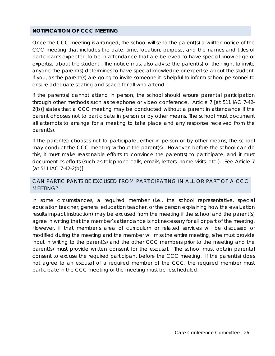#### <span id="page-26-0"></span>**NOTIFICATION OF CCC MEETING**

Once the CCC meeting is arranged, the school will send the parent(s) a written notice of the CCC meeting that includes the date, time, location, purpose, and the names and titles of participants expected to be in attendance that are believed to have special knowledge or expertise about the student. The notice must also advise the parent(s) of their right to invite anyone the parent(s) determines to have special knowledge or expertise about the student. If you, as the parent(s) are going to invite someone it is helpful to inform school personnel to ensure adequate seating and space for all who attend.

If the parent(s) cannot attend in person, the school should ensure parental participation through other methods such as telephone or video conference. Article 7 [at 511 IAC 7-42- 2(b)] states that a CCC meeting may be conducted without a parent in attendance if the parent chooses not to participate in person or by other means. The school must document all attempts to arrange for a meeting to take place and any response received from the parent(s).

If the parent(s) chooses not to participate, either in person or by other means, the school may conduct the CCC meeting without the parent(s). However, before the school can do this, it must make reasonable efforts to convince the parent(s) to participate, and it must document its efforts (such as telephone calls, emails, letters, home visits, etc.). See Article 7 [at 511 IAC 7-42-2(b)].

#### <span id="page-26-1"></span>CAN PARTICIPANTS BE EXCUSED FROM PARTICIPATING IN ALL OR PART OF A CCC MEETING?

In some circumstances, a required member (i.e., the school representative, special education teacher, general education teacher, or the person explaining how the evaluation results impact instruction) may be excused from the meeting if the school and the parent(s) agree in writing that the member's attendance is not necessary for all or part of the meeting. However, if that member's area of curriculum or related services *will be discussed or modified* during the meeting and the member will miss the entire meeting, s/he must provide input in writing to the parent(s) and the other CCC members prior to the meeting and the parent(s) must provide written consent for the excusal. The school must obtain parental consent to excuse the required participant before the CCC meeting. If the parent(s) does not agree to an excusal of a required member of the CCC, the required member must participate in the CCC meeting or the meeting must be rescheduled.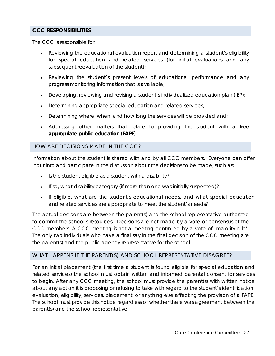#### <span id="page-27-0"></span>**CCC RESPONSIBILITIES**

The CCC is responsible for:

- Reviewing the educational evaluation report and determining a student's eligibility for special education and related services (for initial evaluations and any subsequent reevaluation of the student);
- Reviewing the student's present levels of educational performance and any progress monitoring information that is available;
- Developing, reviewing and revising a student's individualized education plan (IEP);
- Determining appropriate special education and related services;
- Determining where, when, and how long the services will be provided and;
- Addressing other matters that relate to providing the student with a **free appropriate public education** (**FAPE**).

#### <span id="page-27-1"></span>HOW ARE DECISIONS MADE IN THE CCC?

Information about the student is shared with and by all CCC members. Everyone can offer input into and participate in the discussion about the decisions to be made, such as:

- Is the student eligible as a student with a disability?
- If so, what disability category (if more than one was initially suspected)?
- If eligible, what are the student's educational needs, and what special education and related services are appropriate to meet the student's needs?

The actual decisions are between the parent(s) and the school representative authorized to commit the school's resources. Decisions are *not* made by a vote or consensus of the CCC members. A CCC meeting is not a meeting controlled by a vote of 'majority rule'. The only two individuals who have a final say in the final decision of the CCC meeting are the parent(s) and the public agency representative for the school.

#### <span id="page-27-2"></span>WHAT HAPPENS IF THE PARENT(S) AND SCHOOL REPRESENTATIVE DISAGREE?

For an initial placement (the first time a student is found eligible for special education and related services) the school must obtain written and informed parental consent for services to begin. After any CCC meeting, the school must provide the parent(s) with written notice about any action it is proposing or refusing to take with regard to the student's identification, evaluation, eligibility, services, placement, or anything else affecting the provision of a FAPE. The school must provide this notice regardless of whether there was agreement between the parent(s) and the school representative.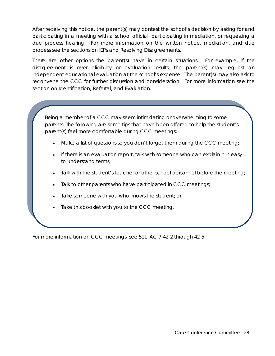After receiving this notice, the parent(s) may contest the school's decision by asking for and participating in a meeting with a school official, participating in mediation, or requesting a due process hearing. For more information on the written notice, mediation, and due process see the sections on *IEPs* and *Resolving Disagreements*.

There are other options the parent(s) have in certain situations. For example, if the disagreement is over eligibility or evaluation results, the parent(s) may request an independent educational evaluation at the school's expense. The parent(s) may also ask to reconvene the CCC for further discussion and consideration. For more information see the section on Identification*, Referral, and Evaluation*.

Being a member of a CCC may seem intimidating or overwhelming to some parents. The following are some tips that have been offered to help the student's parent(s) feel more comfortable during CCC meetings:

- Make a list of questions so you don't forget them during the CCC meeting;
- If there is an evaluation report, talk with someone who can explain it in easy to understand terms;
- Talk with the student's teacher or other school personnel before the meeting;
- Talk to other parents who have participated in CCC meetings;
- Take someone with you who knows the student; or
- Take this booklet with you to the CCC meeting.

For more information on CCC meetings, see 511 IAC 7-42-2 through 42-5.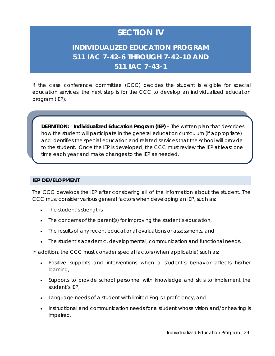# **SECTION IV**

### <span id="page-29-0"></span>**INDIVIDUALIZED EDUCATION PROGRAM 511 IAC 7-42-6 THROUGH 7-42-10 AND 511 IAC 7-43-1**

If the case conference committee (CCC) decides the student is eligible for special education services, the next step is for the CCC to develop an individualized education program (IEP).

**DEFINITION: Individualized Education Program (IEP) –** The written plan that describes how the student will participate in the general education curriculum (if appropriate) and identifies the special education and related services that the school will provide to the student. Once the IEP is developed, the CCC must review the IEP at least one time each year and make changes to the IEP as needed.

#### <span id="page-29-1"></span>**IEP DEVELOPMENT**

The CCC develops the IEP after considering all of the information about the student. The CCC must consider various general factors when developing an IEP, such as:

- The student's strengths,
- The concerns of the parent(s) for improving the student's education,
- The results of any recent educational evaluations or assessments, and
- The student's academic, developmental, communication and functional needs.

In addition, the CCC must consider special factors (when applicable) such as:

- Positive supports and interventions when a student's behavior affects his/her learning,
- Supports to provide school personnel with knowledge and skills to implement the student's IEP,
- Language needs of a student with limited English proficiency, and
- Instructional and communication needs for a student whose vision and/or hearing is impaired.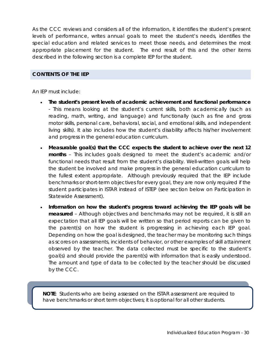As the CCC reviews and considers all of the information, it identifies the student's present levels of performance, writes annual goals to meet the student's needs, identifies the special education and related services to meet those needs, and determines the most appropriate placement for the student. The end result of this and the other items described in the following section is a complete IEP for the student.

#### <span id="page-30-0"></span>**CONTENTS OF THE IEP**

An IEP must include:

- *The student's present levels of academic achievement and functional performance* - This means looking at the student's current skills, both academically (such as reading, math, writing, and language) and functionally (such as fine and gross motor skills, personal care, behavioral, social, and emotional skills, and independent living skills). It also includes how the student's disability affects his/her involvement and progress in the general education curriculum.
- *Measurable goal(s) that the CCC expects the student to achieve over the next 12 months* – This includes goals designed to meet the student's academic and/or functional needs that result from the student's disability. Well-written goals will help the student be involved and make progress in the general education curriculum to the fullest extent appropriate. Although previously required that the IEP include benchmarks or short-term objectives for every goal, they are now *only* required if the student participates in ISTAR instead of ISTEP (see section below on *Participation in Statewide Assessment*).
- *Information on how the student's progress toward achieving the IEP goals will be measured* – Although objectives and benchmarks may not be required, it is still an expectation that all IEP goals will be written so that period reports can be given to the parent(s) on how the student is progressing in achieving each IEP goal. Depending on how the goal is designed, the teacher may be monitoring such things as scores on assessments, incidents of behavior, or other examples of skill attainment observed by the teacher. The data collected must be specific to the student's goal(s) and should provide the parent(s) with information that is easily understood. The amount and type of data to be collected by the teacher should be discussed by the CCC.

**NOTE**: Students who are being assessed on the ISTAR assessment are required to have benchmarks or short term objectives; it is optional for all other students.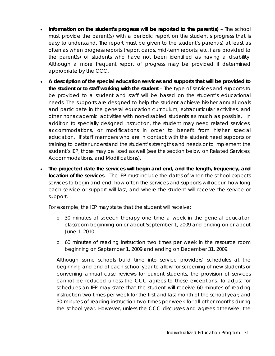- *Information on the student's progress will be reported to the parent(s)* The school must provide the parent(s) with a periodic report on the student's progress that is easy to understand. The report must be given to the student's parent(s) at least as often as when progress reports (report cards, mid-term reports, etc.) are provided to the parent(s) of students who have not been identified as having a disability. Although a more frequent report of progress may be provided if determined appropriate by the CCC.
- *A description of the special education services and supports that will be provided to the student or to staff working with the student* – The type of services and supports to be provided to a student and staff will be based on the student's educational needs. The supports are designed to help the student achieve his/her annual goals and participate in the general education curriculum, extracurricular activities, and other nonacademic activities with non-disabled students as much as possible. In addition to specially designed instruction, the student may need related services, accommodations, or modifications in order to benefit from his/her special education. If staff members who are in contact with the student need supports or training to better understand the student's strengths and needs or to implement the student's IEP, those may be listed as well (see the section below on *Related Services, Accommodations, and Modifications*).
- *The projected date the services will begin and end, and the length, frequency, and location of the services* – The IEP must include the dates of *when* the school expects services to begin and end, *how often* the services and supports will occur, *how long* each service or support will last, and *where* the student will receive the service or support.

For example, the IEP may state that the student will receive:

- o 30 minutes of speech therapy one time a week in the general education classroom beginning on or about September 1, 2009 and ending on or about June 1, 2010.
- o 60 minutes of reading instruction two times per week in the resource room beginning on September 1, 2009 and ending on December 31, 2009.

Although some schools build time into service providers' schedules at the beginning and end of each school year to allow for screening of new students or convening annual case reviews for current students, the provision of services cannot be reduced unless the CCC agrees to these exceptions. To adjust for schedules an IEP may state that the student will receive 60 minutes of reading instruction two times per week for the first and last month of the school year; and 30 minutes of reading instruction two times per week for all other months during the school year. However, unless the CCC discusses and agrees otherwise, the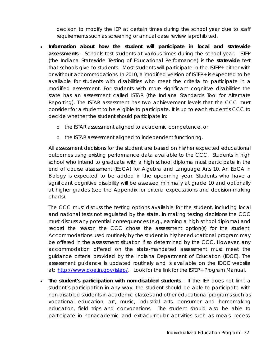decision to modify the IEP at certain times during the school year due to staff requirements such as screening or annual case review is prohibited.

- *Information about how the student will participate in local and statewide assessments –* Schools test students at various times during the school year. ISTEP (the Indiana Statewide Testing of Educational Performance) is the **statewide** test that schools give to students. Most students will participate in the ISTEP+ either with or without accommodations. In 2010, a modified version of ISTEP+ is expected to be available for students with disabilities who meet the criteria to participate in a modified assessment. For students with more significant cognitive disabilities the state has an assessment called ISTAR (the Indiana Standards Tool for Alternate Reporting). The ISTAR assessment has two achievement levels that the CCC must consider for a student to be eligible to participate. It is up to each student's CCC to decide whether the student should participate in:
	- o the ISTAR assessment aligned to academic competence, or
	- o the ISTAR assessment aligned to independent functioning.

All assessment decisions for the student are based on his/her expected educational outcomes using existing performance data available to the CCC. Students in high school who intend to graduate with a high school diploma must participate in the end of course assessment (EoCA) for Algebra and Language Arts 10. An EoCA in Biology is expected to be added in the upcoming year. Students who have a significant cognitive disability will be assessed minimally at grade 10 and optionally at higher grades (see the Appendix for criteria expectations and decision-making charts).

The CCC must discuss the testing options available for the student, including local and national tests not regulated by the state. In making testing decisions the CCC must discuss any potential consequences (e.g., earning a high school diploma) and record the reason the CCC chose the assessment option(s) for the student. Accommodations used routinely by the student in his/her educational program may be offered in the assessment situation if so determined by the CCC. However, any accommodation offered on the state-mandated assessment must meet the guidance criteria provided by the Indiana Department of Education (IDOE). The assessment guidance is updated routinely and is available on the IDOE website at: [http://www.doe.in.gov/istep/.](http://www.doe.in.gov/istep/) Look for the link for the *ISTEP+ Program Manual*.

• *The student's participation with non-disabled students –* If the IEP does not limit a student's participation in any way, the student should be able to participate with non-disabled students in academic classes and other educational programs such as vocational education, art, music, industrial arts, consumer and homemaking education, field trips and convocations. The student should also be able to participate in nonacademic and extracurricular activities such as meals, recess,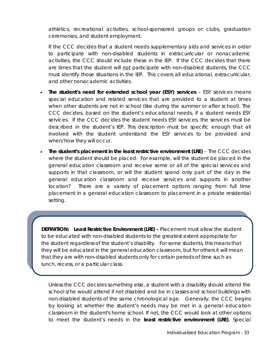athletics, recreational activities, school-sponsored groups or clubs, graduation ceremonies, and student employment.

If the CCC decides that a student needs supplementary aids and services in order to participate with non-disabled students in extracurricular or nonacademic activities, the CCC should include these in the IEP. If the CCC decides that there are times that the student will not participate with non-disabled students, the CCC must identify those situations in the IEP. This covers all educational, extracurricular, and other nonacademic activities.

- **The student's need for extended school year (ESY) services ESY services means** special education and related services that are provided to a student at times when other students are not in school (like during the summer or after school). The CCC decides, based on the student's educational needs, if a student needs ESY services. If the CCC decides the student needs ESY services, the services must be described in the student's IEP. This description must be specific enough that all involved with the student understand the ESY services to be provided and when/how they will occur.
- *The student's placement in the least restrictive environment (LRE)* The CCC decides where the student should be placed. For example, will the student be placed in the general education classroom and receive some or all of the special services and supports in that classroom, or will the student spend only part of the day in the general education classroom and receive services and supports in another location? There are a variety of placement options ranging from full time placement in a general education classroom to placement in a private residential setting.

**DEFINITION: Least Restrictive Environment (LRE) –** Placement must allow the student to be educated with non-disabled students to the greatest extent appropriate for the student regardless of the student's disability. For some students, this means that they will be educated in the general education classroom, but for others it will mean that they are with non-disabled students only for certain periods of time such as lunch, recess, or a particular class.

Unless the CCC decides something else, a student with a disability should attend the school s/he would attend if not disabled and be in classes and school buildings with non-disabled students of the same chronological age. Generally, the CCC begins by looking at whether the student's needs may be met in a general education classroom in the student's home school. If not, the CCC would look at other options to meet the student's needs in the **least restrictive environment (LRE)**. Special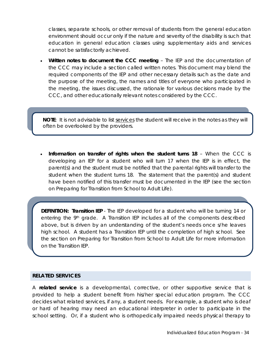classes, separate schools, or other removal of students from the general education environment should occur only if the nature and severity of the disability is such that education in general education classes using supplementary aids and services cannot be satisfactorily achieved.

• *Written notes to document the CCC meeting* – The IEP and the documentation of the CCC may include a section called written notes. This document may blend the required components of the IEP and other necessary details such as the date and the purpose of the meeting, the names and titles of everyone who participated in the meeting, the issues discussed, the rationale for various decisions made by the CCC, and other educationally relevant notes considered by the CCC.

**NOTE:** It is not advisable to list services the student will receive in the notes as they will often be overlooked by the providers.

• *Information on transfer of rights when the student turns 18 –* When the CCC is developing an IEP for a student who will turn 17 when the IEP is in effect, the parent(s) and the student must be notified that the parental rights will transfer to the student when the student turns 18. The statement that the parent(s) and student have been notified of this transfer must be documented in the IEP (see the section on *Preparing for Transition from School to Adult Life*).

• **DEFINITION: Transition IEP** - The IEP developed for a student who will be turning 14 or • above, but is driven by an understanding of the student's needs once s/he leaves • the section on *Preparing for Transition from School to Adult Life* for more information entering the 9<sup>th</sup> grade. A Transition IEP includes all of the components described high school. A student has a Transition IEP until the completion of high school. See on the Transition IEP.

#### <span id="page-34-0"></span>**RELATED SERVICES**

A **related service** is a developmental, corrective, or other supportive service that is provided to help a student benefit from his/her special education program. The CCC decides what related services, if any, a student needs. For example, a student who is deaf or hard of hearing may need an educational interpreter in order to participate in the school setting. Or, if a student who is orthopedically impaired needs physical therapy to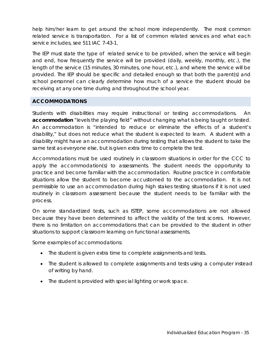help him/her learn to get around the school more independently. The most common related service is transportation. For a list of common related services and what each service includes, see 511 IAC 7-43-1.

The IEP must state the type of related service to be provided, when the service will begin and end, how frequently the service will be provided (daily, weekly, monthly, etc.), the length of the service (15 minutes, 30 minutes, one hour, etc.), and where the service will be provided. The IEP should be specific and detailed enough so that both the parent(s) and school personnel can clearly determine how much of a service the student should be receiving at any one time during and throughout the school year.

#### <span id="page-35-0"></span>**ACCOMMODATIONS**

Students with disabilities may require instructional or testing accommodations. An **accommodation** "levels the playing field" without changing what is being taught or tested. An accommodation is "intended to reduce or eliminate the effects of a student's disability," but does not reduce what the student is expected to learn. A student with a disability might have an accommodation during testing that allows the student to take the same test as everyone else, but is given extra time to complete the test.

Accommodations must be used routinely in classroom situations in order for the CCC to apply the accommodation(s) to assessments. The student needs the opportunity to practice and become familiar with the accommodation. Routine practice in comfortable situations allow the student to become accustomed to the accommodation. It is not permissible to use an accommodation during high stakes testing situations if it is not used routinely in classroom assessment because the student needs to be familiar with the process.

On some standardized tests, such as ISTEP, some accommodations are not allowed because they have been determined to affect the validity of the test scores. However, there is no limitation on accommodations that can be provided to the student in other situations to support classroom learning on functional assessments.

Some examples of accommodations:

- The student is given extra time to complete assignments and tests.
- The student is allowed to complete assignments and tests using a computer instead of writing by hand.
- The student is provided with special lighting or work space.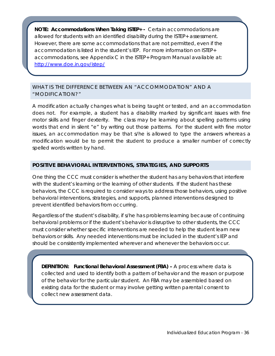**NOTE: Accommodations When Taking ISTEP+ -** Certain accommodations are allowed for students with an identified disability during the ISTEP+ assessment. However, there are some accommodations that are not permitted, even if the accommodation is listed in the student's IEP. For more information on ISTEP+ accommodations, see Appendix C in the *ISTEP+ Program Manual* available at: [http://www.doe.in.gov/istep/](http://www.doe.in.gov/istep/docs/2008-09-ISTEPProgramManual.pdf)

#### WHAT IS THE DIFFERENCE BETWEEN AN "ACCOMMODATION" AND A "MODIFICATION?"

A modification actually changes what is being taught or tested, and an accommodation does not. For example, a student has a disability marked by significant issues with fine motor skills and finger dexterity. The class may be learning about spelling patterns using words that end in silent "e" by writing out those patterns. For the student with fine motor issues, an accommodation may be that s/he is allowed to type the answers whereas a modification would be to permit the student to produce a smaller number of correctly spelled words written by hand.

## **POSITIVE BEHAVIORAL INTERVENTIONS, STRATEGIES, AND SUPPORTS**

One thing the CCC must consider is whether the student has any behaviors that interfere with the student's learning or the learning of other students. If the student has these behaviors, the CCC is required to consider ways to address those behaviors, using positive behavioral interventions, strategies, and supports, planned interventions designed to prevent identified behaviors from occurring.

Regardless of the student's disability, if s/he has problems learning because of continuing behavioral problems or if the student's behavior is disruptive to other students, the CCC must consider whether specific interventions are needed to help the student learn new behaviors or skills. Any needed interventions must be included in the student's IEP and should be consistently implemented wherever and whenever the behaviors occur.

**DEFINITION: Functional Behavioral Assessment (FBA) –** A process where data is collected and used to identify both a pattern of behavior and the reason or purpose of the behavior for the particular student. An FBA may be assembled based on existing data for the student or may involve getting written parental consent to collect new assessment data.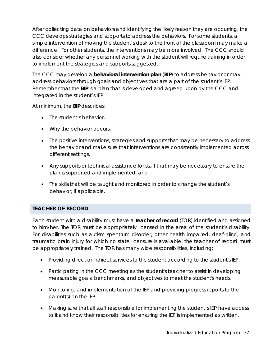After collecting data on behaviors and identifying the likely reason they are occurring, the CCC develops strategies and supports to address the behaviors. For some students, a simple intervention of moving the student's desk to the front of the classroom may make a difference. For other students, the interventions may be more involved. The CCC should also consider whether any personnel working with the student will require training in order to implement the strategies and supports suggested.

The CCC may develop a **behavioral intervention plan** (**BIP**) to address behavior or may address behaviors through goals and objectives that are a part of the student's IEP. Remember that the **BIP** is a plan that is developed and agreed upon by the CCC and integrated in the student's IEP.

At minimum, the **BIP** describes:

- The student's behavior,
- Why the behavior occurs,
- The positive interventions, strategies and supports that may be necessary to address the behavior and make sure that interventions are consistently implemented across different settings,
- Any supports or technical assistance for staff that may be necessary to ensure the plan is supported and implemented, and
- The skills that will be taught and monitored in order to change the student's behavior, if applicable.

# **TEACHER OF RECORD**

Each student with a disability must have a **teacher of record** (TOR) identified and assigned to him/her. The TOR must be appropriately licensed in the area of the student's disability. For disabilities such as autism spectrum disorder, other health impaired, deaf-blind, and traumatic brain injury for which no state licensure is available, the teacher of record must be appropriately trained. The TOR has many wide responsibilities, including:

- Providing direct or indirect services to the student according to the student's IEP.
- Participating in the CCC meeting as the student's teacher to assist in developing measurable goals, benchmarks, and objectives to meet the student's needs.
- Monitoring, and implementation of the IEP and providing progress reports to the parent(s) on the IEP.
- Making sure that all staff responsible for implementing the student's IEP have access to it and know their responsibilities for ensuring the IEP is implemented as written.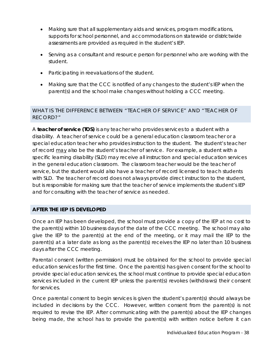- Making sure that all supplementary aids and services, program modifications, supports for school personnel, and accommodations on statewide or districtwide assessments are provided as required in the student's IEP.
- Serving as a consultant and resource person for personnel who are working with the student.
- Participating in reevaluations of the student.
- Making sure that the CCC is notified of any changes to the student's IEP when the parent(s) and the school make changes without holding a CCC meeting.

# WHAT IS THE DIFFERENCE BETWEEN "TEACHER OF SERVICE" AND "TEACHER OF RECORD?"

A **teacher of service (TOS)** is any teacher who provides services to a student with a disability. A teacher of service could be a general education classroom teacher or a special education teacher who provides instruction to the student. The student's teacher of record may also be the student's teacher of service. For example, a student with a specific learning disability (SLD) may receive all instruction and special education services in the general education classroom. The classroom teacher would be the teacher of service, but the student would also have a teacher of record licensed to teach students with SLD. The teacher of record does not always provide direct instruction to the student, but is responsible for making sure that the teacher of service implements the student's IEP and for consulting with the teacher of service as needed.

# **AFTER THE IEP IS DEVELOPED**

Once an IEP has been developed, the school must provide a copy of the IEP at no cost to the parent(s) within 10 business days of the date of the CCC meeting. The school may also give the IEP to the parent(s) at the end of the meeting, or it may mail the IEP to the parent(s) at a later date as long as the parent(s) receives the IEP no later than 10 business days after the CCC meeting.

Parental consent (written permission) must be obtained for the school to provide special education services for the first time. Once the parent(s) has given consent for the school to provide special education services, the school must continue to provide special education services included in the current IEP unless the parent(s) revokes (withdraws) their consent for services.

Once parental consent to begin services is given the student's parent(s) should always be included in decisions by the CCC. However, written consent from the parent(s) is not required to revise the IEP. After communicating with the parent(s) about the IEP changes being made, the school has to provide the parent(s) with written notice before it can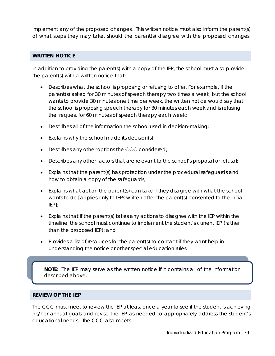implement any of the proposed changes. This written notice must also inform the parent(s) of what steps they may take, should the parent(s) disagree with the proposed changes.

#### **WRITTEN NOTICE**

In addition to providing the parent(s) with a copy of the IEP, the school must also provide the parent(s) with a written notice that:

- Describes what the school is proposing or refusing to offer. For example, if the parent(s) asked for 30 minutes of speech therapy two times a week, but the school wants to provide 30 minutes one time per week, the written notice would say that the school is proposing speech therapy for 30 minutes each week and is refusing the request for 60 minutes of speech therapy each week;
- Describes all of the information the school used in decision-making;
- Explains why the school made its decision(s);
- Describes any other options the CCC considered;
- Describes any other factors that are relevant to the school's proposal or refusal;
- Explains that the parent(s) has protection under the procedural safeguards and how to obtain a copy of the safeguards;
- Explains what action the parent(s) can take if they disagree with what the school wants to do [applies only to IEPs written after the parent(s) consented to the initial IEP];
- Explains that if the parent(s) takes any actions to disagree with the IEP within the timeline, the school must continue to implement the student's current IEP (rather than the proposed IEP); and
- Provides a list of resources for the parent(s) to contact if they want help in understanding the notice or other special education rules.

**NOTE**: The IEP may serve as the w*ritten notice* if it contains all of the information described above.

#### **REVIEW OF THE IEP**

The CCC must meet to review the IEP at least once a year to see if the student is achieving his/her annual goals and revise the IEP as needed to appropriately address the student's educational needs. The CCC also meets: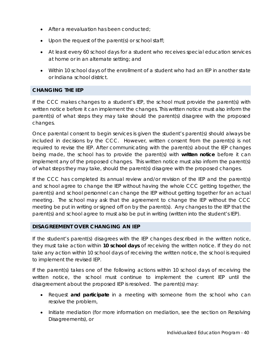- After a reevaluation has been conducted;
- Upon the request of the parent(s) or school staff;
- At least every 60 school days for a student who receives special education services at home or in an alternate setting; and
- Within 10 school days of the enrollment of a student who had an IEP in another state or Indiana school district.

# **CHANGING THE IEP**

If the CCC makes changes to a student's IEP, the school must provide the parent(s) with written notice before it can implement the changes. This written notice must also inform the parent(s) of what steps they may take should the parent(s) disagree with the proposed changes.

Once parental consent to begin services is given the student's parent(s) should always be included in decisions by the CCC. However, written consent from the parent(s) is not required to revise the IEP. After communicating with the parent(s) about the IEP changes being made, the school has to provide the parent(s) with **written notice** before it can implement any of the proposed changes. This written notice must also inform the parent(s) of what steps they may take, should the parent(s) disagree with the proposed changes.

If the CCC has completed its annual review and/or revision of the IEP and the parent(s) and school agree to change the IEP without having the whole CCC getting together, the parent(s) and school personnel can change the IEP without getting together for an actual meeting. The school may ask that the agreement to change the IEP without the CCC meeting be put in writing or signed off on by the parent(s). Any changes to the IEP that the parent(s) and school agree to must also be put in writing (written into the student's IEP).

# **DISAGREEMENT OVER CHANGING AN IEP**

If the student's parent(s) disagrees with the IEP changes described in the written notice, they must take action within **10 school days** of receiving the written notice. If they do not take any action within 10 school days of receiving the written notice, the school is required to implement the revised IEP.

If the parent(s) takes one of the following actions within 10 school days of receiving the written notice, the school must continue to implement the current IEP until the disagreement about the proposed IEP is resolved. The parent(s) may:

- Request **and participate** in a meeting with someone from the school who can resolve the problem,
- Initiate mediation (for more information on mediation, see the section on *Resolving Disagreements*), or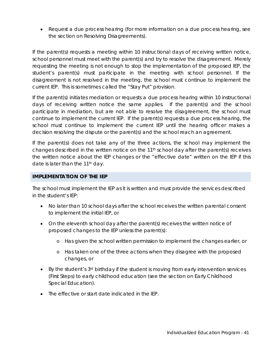• Request a due process hearing (for more information on a due process hearing, see the section on *Resolving Disagreements*).

If the parent(s) requests a meeting within 10 instructional days of receiving written notice, school personnel must meet with the parent(s) and try to resolve the disagreement. Merely requesting the meeting is not enough to stop the implementation of the proposed IEP, the student's parent(s) must participate in the meeting with school personnel. If the disagreement is not resolved in the meeting, the school must continue to implement the current IEP. This is sometimes called the "Stay Put" provision.

If the parent(s) initiates mediation or requests a due process hearing within 10 instructional days of receiving written notice the same applies. If the parent(s) and the school participate in mediation, but are not able to resolve the disagreement, the school must continue to implement the current IEP. If the parent(s) requests a due process hearing, the school must continue to implement the current IEP until the hearing officer makes a decision resolving the dispute or the parent(s) and the school reach an agreement.

If the parent(s) does not take any of the three actions, the school may implement the changes described in the written notice on the 11<sup>th</sup> school day after the parent(s) receives the written notice about the IEP changes or the "effective date" written on the IEP if this date is later than the 11<sup>th</sup> day.

#### **IMPLEMENTATION OF THE IEP**

The school must implement the IEP as it is written and must provide the services described in the student's IEP:

- No later than 10 school days after the school receives the written parental consent to implement the initial IEP, or
- On the eleventh school day after the parent(s) receives the written notice of proposed changes to the IEP *unless* the parent(s):
	- o Has given the school written permission to implement the changes earlier, or
	- o Has taken one of the three actions when they disagree with the proposed changes, or
- By the student's 3<sup>rd</sup> birthday if the student is moving from early intervention services (First Steps) to early childhood education (see the section on *Early Childhood Special Education*).
- The effective or start date indicated in the IEP.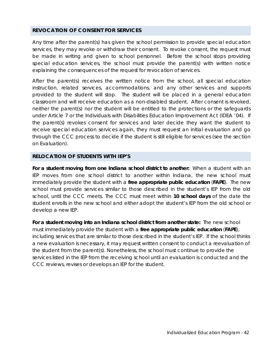#### **REVOCATION OF CONSENT FOR SERVICES**

Any time after the parent(s) has given the school permission to provide special education services, they may revoke or withdraw their consent. To revoke consent, the request must be made in writing and given to school personnel. Before the school stops providing special education services, the school must provide the parent(s) with written notice explaining the consequences of the request for revocation of services.

After the parent(s) receives the written notice from the school, all special education instruction, related services, accommodations, and any other services and supports provided to the student will stop. The student will be placed in a general education classroom and will receive education as a non-disabled student. After consent is revoked, neither the parent(s) nor the student will be entitled to the protections or the safeguards under Article 7 or the Individuals with Disabilities Education Improvement Act (IDEA '04). If the parent(s) revokes consent for services and later decide they want the student to receive special education services again, they must request an initial evaluation and go through the CCC process to decide if the student is still eligible for services (see the section on *Evaluatio*n).

#### **RELOCATION OF STUDENTS WITH IEP'S**

**For a student moving from one Indiana school district to another:** When a student with an IEP moves from one school district to another within Indiana, the new school must i*mmediately* provide the student with a **free appropriate public education** (**FAPE**). The new school must provide services similar to those described in the student's IEP from the old school, until the CCC meets. The CCC must meet within **10 school days** of the date the student enrolls in the new school and either adopt the student's IEP from the old school or develop a new IEP.

**For a student moving into an Indiana school district from another state:** The new school must *immediately* provide the student with a **free appropriate public education** (**FAPE**), including services that are similar to those described in the student's IEP. If the school thinks a new evaluation is necessary, it may request written consent to conduct a reevaluation of the student from the parent(s). Nonetheless, the school must continue to provide the services listed in the IEP from the receiving school until an evaluation is conducted and the CCC reviews, revises or develops an IEP for the student.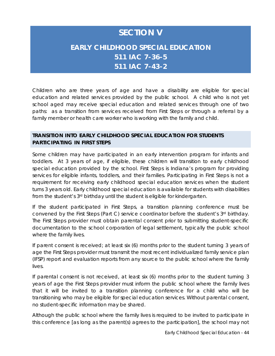# **SECTION V**

# **EARLY CHILDHOOD SPECIAL EDUCATION 511 IAC 7-36-5 511 IAC 7-43-2**

Children who are three years of age and have a disability are eligible for special education and related services provided by the public school. A child who is not yet school aged may receive special education and related services through one of two paths: as a transition from services received from First Steps or through a referral by a family member or health care worker who is working with the family and child.

#### **TRANSITION INTO EARLY CHILDHOOD SPECIAL EDUCATION FOR STUDENTS PARTICIPATING IN FIRST STEPS**

Some children may have participated in an early intervention program for infants and toddlers. At 3 years of age, if eligible, these children will transition to early childhood special education provided by the school. First Steps is Indiana's program for providing services for eligible infants, toddlers, and their families. Participating in First Steps is not a requirement for receiving early childhood special education services when the student turns 3 years old. Early childhood special education is available for students with disabilities from the student's 3rd birthday until the student is eligible for kindergarten.

If the student participated in First Steps, a transition planning conference must be convened by the First Steps (Part C) service coordinator before the student's 3rd birthday. The First Steps provider must obtain parental consent prior to submitting student-specific documentation to the school corporation of legal settlement, typically the public school where the family lives.

If parent consent is received; at least six (6) months prior to the student turning 3 years of age the First Steps provider must transmit the most recent individualized family service plan (IFSP) report and evaluation reports from any source to the public school where the family lives.

If parental consent is not received, at least six (6) months prior to the student turning 3 years of age the First Steps provider must inform the public school where the family lives that it will be invited to a transition planning conference for a child who will be transitioning who may be eligible for special education services. Without parental consent, no student-specific information may be shared.

Although the public school where the family lives is required to be invited to participate in this conference [as long as the parent(s) agrees to the participation], the school may not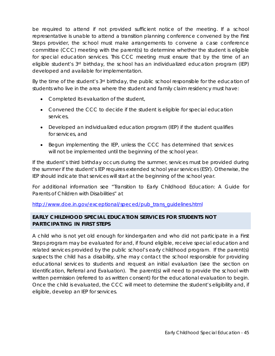be required to attend if not provided sufficient notice of the meeting. If a school representative is unable to attend a transition planning conference convened by the First Steps provider, the school must make arrangements to convene a case conference committee (CCC) meeting with the parent(s) to determine whether the student is eligible for special education services. This CCC meeting must ensure that by the time of an eligible student's 3rd birthday, the school has an individualized education program (IEP) developed and available for implementation.

By the time of the student's 3<sup>rd</sup> birthday, the public school responsible for the education of students who live in the area where the student and family claim residency must have:

- Completed its evaluation of the student,
- Convened the CCC to decide if the student is eligible for special education services,
- Developed an individualized education program (IEP) if the student qualifies for services, and
- Begun implementing the IEP, unless the CCC has determined that services will not be implemented until the beginning of the school year.

If the student's third birthday occurs during the summer, services must be provided during the summer if the student's IEP requires *extended school year* services (ESY). Otherwise, the IEP should indicate that services will start at the beginning of the school year.

For additional information see "Transition to Early Childhood Education: A Guide for Parents of Children with Disabilities" at

[http://www.doe.in.gov/exceptional/speced/pub\\_trans\\_guidelines.html](http://www.doe.in.gov/exceptional/speced/pub_trans_guidelines.html)

# **EARLY CHILDHOOD SPECIAL EDUCATION SERVICES FOR STUDENTS NOT PARTICIPATING IN FIRST STEPS**

A child who is not yet old enough for kindergarten and who did not participate in a First Steps program may be evaluated for and, if found eligible, receive special education and related services provided by the public school's early childhood program. If the parent(s) suspects the child has a disability, s/he may contact the school responsible for providing educational services to students and request an initial evaluation (see the section on *Identification, Referral and Evaluation*). The parent(s) will need to provide the school with written permission (referred to as written consent) for the educational evaluation to begin. Once the child is evaluated, the CCC will meet to determine the student's eligibility and, if eligible, develop an IEP for services.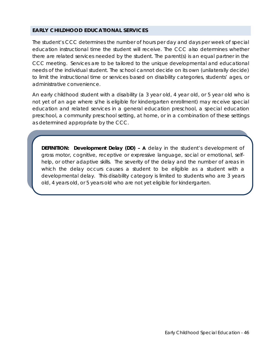# **EARLY CHILDHOOD EDUCATIONAL SERVICES**

The student's CCC determines the number of hours per day and days per week of special education instructional time the student will receive. The CCC also determines whether there are related services needed by the student. The parent(s) is an equal partner in the CCC meeting. Services are to be tailored to the unique developmental and educational needs of the individual student. The school cannot decide on its own (unilaterally decide) to limit the instructional time or services based on disability categories, students' ages, or administrative convenience.

An early childhood student with a disability (a 3 year old, 4 year old, or 5 year old who is not yet of an age where s/he is eligible for kindergarten enrollment) may receive special education and related services in a general education preschool, a special education preschool, a community preschool setting, at home, or in a combination of these settings as determined appropriate by the CCC.

**DEFINITION: Development Delay (DD) – A** delay in the student's development of gross motor, cognitive, receptive or expressive language, social or emotional, selfhelp, or other adaptive skills. The severity of the delay and the number of areas in which the delay occurs causes a student to be eligible as a student with a developmental delay. This disability category is limited to students who are 3 years old, 4 years old, or 5 years old who are not yet eligible for kindergarten.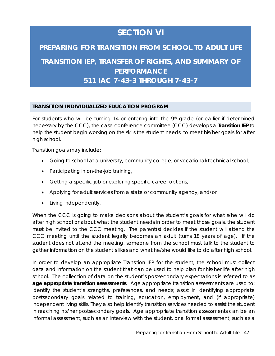# **SECTION VI**

# **PREPARING FOR TRANSITION FROM SCHOOL TO ADULT LIFE**

# **TRANSITION IEP, TRANSFER OF RIGHTS, AND SUMMARY OF PERFORMANCE**

# **511 IAC 7-43-3 THROUGH 7-43-7**

#### **TRANSITION INDIVIDUALIZED EDUCATION PROGRAM**

For students who will be turning 14 or entering into the 9<sup>th</sup> grade (or earlier if determined necessary by the CCC), the case conference committee (CCC) develops a **Transition IEP** to help the student begin working on the skills the student needs to meet his/her goals for after high school.

Transition goals may include:

- Going to school at a university, community college, or vocational/technical school,
- Participating in on-the-job training,
- Getting a specific job or exploring specific career options,
- Applying for adult services from a state or community agency, and/or
- Living independently.

When the CCC is going to make decisions about the student's goals for what s/he will do after high school or about what the student needs in order to meet those goals, the student must be invited to the CCC meeting. The parent(s) decides if the student will attend the CCC meeting until the student legally becomes an adult (turns 18 years of age). If the student does not attend the meeting, someone from the school must talk to the student to gather information on the student's likes and what he/she would like to do after high school.

In order to develop an appropriate Transition IEP for the student, the school must collect data and information on the student that can be used to help plan for his/her life after high school. The collection of data on the student's postsecondary expectations is referred to as **age appropriate transition assessments**. Age appropriate transition assessments are used to: identify the student's strengths, preferences, and needs; assist in identifying appropriate postsecondary goals related to training, education, employment, and (if appropriate) independent living skills. They also help identify transition services needed to assist the student in reaching his/her postsecondary goals. Age appropriate transition assessments can be an informal assessment, such as an interview with the student, or a formal assessment, such as a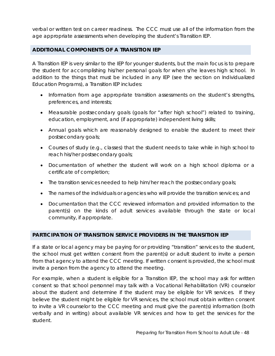verbal or written test on career readiness. The CCC must use all of the information from the age appropriate assessments when developing the student's Transition IEP.

#### **ADDITIONAL COMPONENTS OF A TRANSITION IEP**

A Transition IEP is very similar to the IEP for younger students, but the main focus is to prepare the student for accomplishing his/her personal goals for when s/he leaves high school. In addition to the things that must be included in any IEP (see the section on *Individualized Education Programs*), a Transition IEP includes:

- Information from age appropriate transition assessments on the student's strengths, preferences, and interests;
- Measurable postsecondary goals (goals for "after high school") related to training, education, employment, and (if appropriate) independent living skills;
- Annual goals which are reasonably designed to enable the student to meet their postsecondary goals;
- Courses of study (e.g., classes) that the student needs to take while in high school to reach his/her postsecondary goals;
- Documentation of whether the student will work on a high school diploma or a certificate of completion;
- The transition services needed to help him/her reach the postsecondary goals;
- The names of the individuals or agencies who will provide the transition services; and
- Documentation that the CCC reviewed information and provided information to the parent(s) on the kinds of adult services available through the state or local community, if appropriate.

#### **PARTICIPATION OF TRANSITION SERVICE PROVIDERS IN THE TRANSITION IEP**

If a state or local agency may be paying for or providing "transition" services to the student, the school must get written consent from the parent(s) or adult student to invite a person from that agency to attend the CCC meeting. If written consent is provided, the school must invite a person from the agency to attend the meeting.

For example, when a student is eligible for a Transition IEP, the school may ask for written consent so that school personnel may talk with a Vocational Rehabilitation (VR) counselor about the student and determine if the student may be eligible for VR services. If they believe the student might be eligible for VR services, the school must obtain written consent to invite a VR counselor to the CCC meeting and must give the parent(s) information (both verbally and in writing) about available VR services and how to get the services for the student.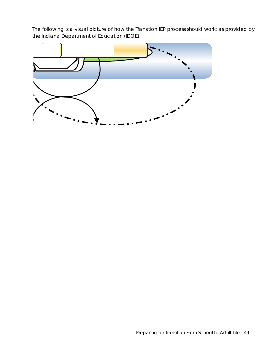The following is a visual picture of how the Transition IEP process should work; as provided by the Indiana Department of Education (IDOE).

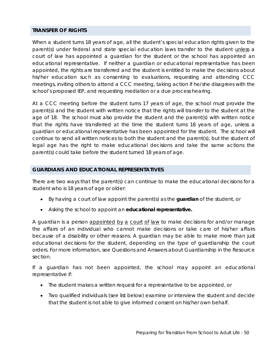## **TRANSFER OF RIGHTS**

When a student turns 18 years of age, all the student's special education rights given to the parent(s) under federal and state special education laws transfer to the student unless a court of law has appointed a guardian for the student or the school has appointed an educational representative. If neither a guardian or educational representative has been appointed, the rights are transferred and the student is entitled to make the decisions about his/her education such as consenting to evaluations, requesting and attending CCC meetings, inviting others to attend a CCC meeting, taking action if he/she disagrees with the school's proposed IEP, and requesting mediation or a due process hearing.

At a CCC meeting before the student turns 17 years of age, the school must provide the parent(s) and the student with written notice that the rights will transfer to the student at the age of 18. The school must also provide the student and the parent(s) with written notice that the rights have transferred at the time the student turns 18 years of age, unless a guardian or educational representative has been appointed for the student. The school will continue to send all written notices to both the student and the parent(s), but the student of legal age has the right to make educational decisions and take the same actions the parent(s) could take before the student turned 18 years of age.

#### **GUARDIANS AND EDUCATIONAL REPRESENTATIVES**

There are two ways that the parent(s) can continue to make the educational decisions for a student who is 18 years of age or older:

- By having a court of law appoint the parent(s) as the **guardian** of the student, or
- Asking the school to appoint an **educational representative.**

A guardian is a person appointed by a court of law to make decisions for and/or manage the affairs of an individual who cannot make decisions or take care of his/her affairs because of a disability or other reasons. A guardian may be able to make more than just educational decisions for the student, depending on the type of guardianship the court orders. For more information, see *Questions and Answers about Guardianship* in the Resource section.

If a guardian has not been appointed, the school may appoint an educational representative if:

- The student makes a written request for a representative to be appointed, or
- Two qualified individuals (see list below) examine or interview the student and decide that the student is not able to give informed consent on his/her own behalf.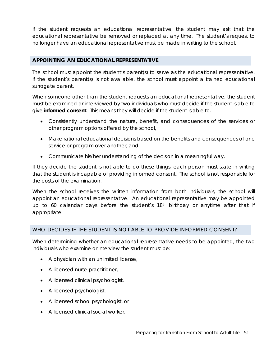If the student requests an educational representative, the student may ask that the educational representative be removed or replaced at any time. The student's request to no longer have an educational representative must be made in writing to the school.

# **APPOINTING AN EDUCATIONAL REPRESENTATIVE**

The school must appoint the student's parent(s) to serve as the educational representative. If the student's parent(s) is not available, the school must appoint a trained educational surrogate parent.

When someone other than the student requests an educational representative, the student must be examined or interviewed by two individuals who must decide if the student is able to give **informed consent**. This means they will decide if the student is able to:

- Consistently understand the nature, benefit, and consequences of the services or other program options offered by the school,
- Make rational educational decisions based on the benefits and consequences of one service or program over another, and
- Communicate his/her understanding of the decision in a meaningful way.

If they decide the student is not able to do these things, each person must state in writing that the student is incapable of providing informed consent. The school is not responsible for the costs of the examination.

When the school receives the written information from both individuals, the school will appoint an educational representative. An educational representative may be appointed up to 60 calendar days before the student's  $18<sup>th</sup>$  birthday or anytime after that if appropriate.

#### WHO DECIDES IF THE STUDENT IS NOT ABLE TO PROVIDE INFORMED CONSENT?

When determining whether an educational representative needs to be appointed, the two individuals who examine or interview the student must be:

- A physician with an unlimited license,
- A licensed nurse practitioner,
- A licensed clinical psychologist,
- A licensed psychologist,
- A licensed school psychologist, or
- A licensed clinical social worker.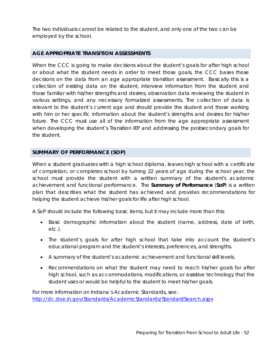The two individuals cannot be related to the student, and only one of the two can be employed by the school.

## **AGE APPROPRIATE TRANSITION ASSESSMENTS**

When the CCC is going to make decisions about the student's goals for after high school or about what the student needs in order to meet those goals, the CCC bases those decisions on the data from an age appropriate transition assessment. Basically this is a collection of existing data on the student, interview information from the student and those familiar with his/her strengths and desires, observation data reviewing the student in various settings, and any necessary formalized assessments. The collection of data is relevant to the student's current age and should provide the student and those working with him or her specific information about the student's strengths and desires for his/her future. The CCC must use all of the information from the age appropriate assessment when developing the student's Transition IEP and addressing the postsecondary goals for the student.

## **SUMMARY OF PERFORMANCE (SOP)**

When a student graduates with a high school diploma, leaves high school with a certificate of completion, or completes school by turning 22 years of age during the school year, the school must provide the student with a written summary of the student's academic achievement and functional performance. The **Summary of Performance** (**SoP**) is a written plan that describes what the student has achieved and provides recommendations for helping the student achieve his/her goals for life after high school.

A SoP should include the following basic items, but it may include more than this:

- Basic demographic information about the student (name, address, date of birth, etc.).
- The student's goals for after high school that take into account the student's educational program and the student's interests, preferences, and strengths.
- A summary of the student's academic achievement and functional skill levels.
- Recommendations on what the student may need to reach his/her goals for after high school, such as accommodations, modifications, or assistive technology that the student uses or would be helpful to the student to meet his/her goals.

For more information on Indiana's Academic Standards, see: *<http://dc.doe.in.gov/Standards/AcademicStandards/StandardSearch.aspx>*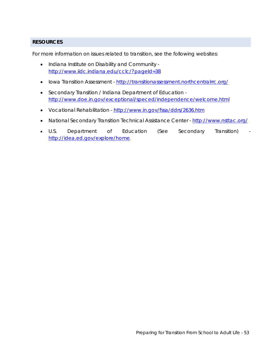# **RESOURCES**

For more information on issues related to transition, see the following websites:

- Indiana Institute on Disability and Community <http://www.iidc.indiana.edu/cclc/?pageId=38>
- Iowa Transition Assessment <http://transitionassessment.northcentralrrc.org/>
- Secondary Transition / Indiana Department of Education <http://www.doe.in.gov/exceptional/speced/independence/welcome.html>
- Vocational Rehabilitation <http://www.in.gov/fssa/ddrs/2636.htm>
- National Secondary Transition Technical Assistance Center <http://www.nsttac.org/>
- U.S. Department of Education (See Secondary Transition) <http://idea.ed.gov/explore/home>.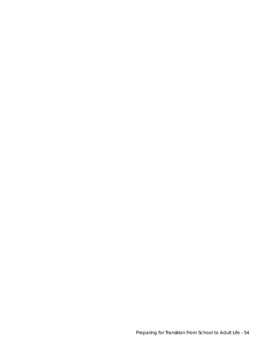Preparing for Transition From School to Adult Life - 54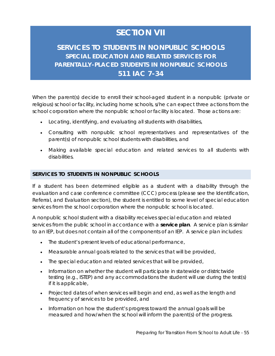# **SECTION VII**

# **SERVICES TO STUDENTS IN NONPUBLIC SCHOOLS SPECIAL EDUCATION AND RELATED SERVICES FOR PARENTALLY-PLACED STUDENTS IN NONPUBLIC SCHOOLS 511 IAC 7-34**

When the parent(s) decide to enroll their school-aged student in a nonpublic (private or religious) school or facility, including home schools, s/he can expect three actions from the school corporation where the nonpublic school or facility is located. Those actions are:

- Locating, identifying, and evaluating all students with disabilities,
- Consulting with nonpublic school representatives and representatives of the parent(s) of nonpublic school students with disabilities, and
- Making available special education and related services to all students with disabilities.

#### **SERVICES TO STUDENTS IN NONPUBLIC SCHOOLS**

If a student has been determined eligible as a student with a disability through the evaluation and case conference committee (CCC) process (please see the *Identification, Referral, and Evaluation* section), the student is entitled to some level of special education services from the school corporation where the nonpublic school is located.

A nonpublic school student with a disability receives special education and related services from the public school in accordance with a **service plan**. A service plan is similar to an IEP, but does not contain all of the components of an IEP. A service plan includes:

- The student's present levels of educational performance,
- Measurable annual goals related to the services that will be provided,
- The special education and related services that will be provided,
- Information on whether the student will participate in statewide or districtwide testing (e.g., ISTEP) and any accommodations the student will use during the test(s) if it is applicable,
- Projected dates of when services will begin and end, as well as the length and frequency of services to be provided, and
- Information on how the student's progress toward the annual goals will be measured and how/when the school will inform the parent(s) of the progress.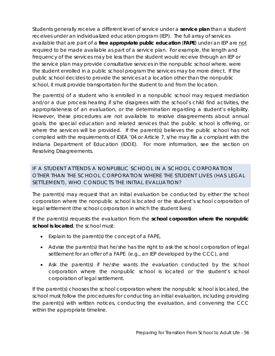Students generally receive a different level of service under a **service plan** than a student receives under an individualized education program (IEP). The full array of services available that are part of a **free appropriate public education** (**FAPE**) under an IEP are not required to be made available as part of a service plan. For example, the length and frequency of the services may be less than the student would receive through an IEP or the service plan may provide consultative services in the nonpublic school where, were the student enrolled in a public school program the services may be more direct. If the public school decides to provide the services at a location other than the nonpublic school, it must provide transportation for the student to and from the location.

The parent(s) of a student who is enrolled in a nonpublic school may request mediation and/or a due process hearing if s/he disagrees with the school's child find activities, the appropriateness of an evaluation, or the determination regarding a student's eligibility. However, these procedures are not available to resolve disagreements about annual goals, the special education and related services that the public school is offering, or where the services will be provided. If the parent(s) believes the public school has not complied with the requirements of IDEA '04 or Article 7, s/he may file a complaint with the Indiana Department of Education (IDOE). For more information, see the section on *Resolving Disagreements*.

# IF A STUDENT ATTENDS A NONPUBLIC SCHOOL IN A SCHOOL CORPORATION OTHER THAN THE SCHOOL CORPORATION WHERE THE STUDENT LIVES (HAS LEGAL SETTLEMENT), WHO CONDUCTS THE INITIAL EVALUATION?

The parent(s) may request that an initial evaluation be conducted by either the school corporation where the nonpublic school is located or the student's school corporation of legal settlement (the school corporation in which the student lives).

If the parent(s) requests the evaluation from the **school corporation where the nonpublic school is located**, the school must:

- Explain to the parent(s) the concept of a FAPE,
- Advise the parent(s) that he/she has the right to ask the school corporation of legal settlement for an offer of a FAPE (e.g., an IEP developed by the CCC), and
- Ask the parent(s) if he/she wants the evaluation conducted by the school corporation where the nonpublic school is located or the student's school corporation of legal settlement.

If the parent(s) chooses the school corporation where the nonpublic school is located, the school must follow the procedures for conducting an initial evaluation, including providing the parent(s) with written notices, conducting the evaluation, and convening the CCC within the appropriate timeline.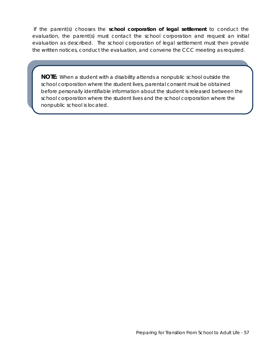If the parent(s) chooses the **school corporation of legal settlement** to conduct the evaluation, the parent(s) must contact the school corporation and request an initial evaluation as described. The school corporation of legal settlement must then provide the written notices, conduct the evaluation, and convene the CCC meeting as required.

**NOTE:** When a student with a disability attends a nonpublic school outside the school corporation where the student lives, parental consent must be obtained before personally identifiable information about the student is released between the school corporation where the student lives and the school corporation where the nonpublic school is located.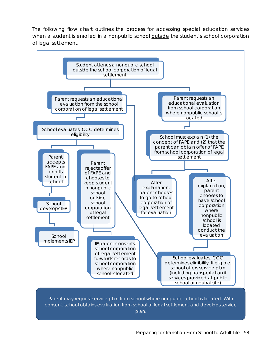The following flow chart outlines the process for accessing special education services when a student is enrolled in a nonpublic school outside the student's school corporation of legal settlement.

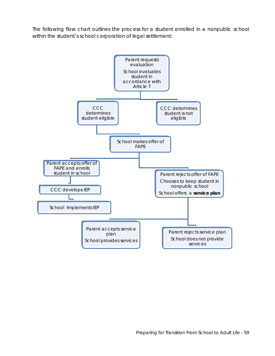The following flow chart outlines the process for a student enrolled in a nonpublic school within the student's school corporation of legal settlement:

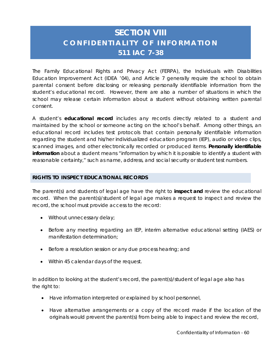# **SECTION VIII CONFIDENTIALITY OF I NFORMATION 511 IAC 7-38**

The Family Educational Rights and Privacy Act (FERPA), the Individuals with Disabilities Education Improvement Act (IDEA '04), and Article 7 generally require the school to obtain parental consent before disclosing or releasing personally identifiable information from the student's educational record. However, there are also a number of situations in which the school may release certain information about a student without obtaining written parental consent.

A student's **educational record** includes any records directly related to a student and maintained by the school or someone acting on the school's behalf. Among other things, an educational record includes test protocols that contain personally identifiable information regarding the student and his/her individualized education program (IEP), audio or video clips, scanned images, and other electronically recorded or produced items. **Personally identifiable information** about a student means "information by which it is possible to identify a student with reasonable certainty," such as name, address, and social security or student test numbers.

#### **RIGHTS TO INSPECT EDUCATIONAL RECORDS**

The parent(s) and students of legal age have the right to **inspect and** review the educational record. When the parent(s)/student of legal age makes a request to inspect and review the record, the school must provide access to the record:

- Without unnecessary delay;
- Before any meeting regarding an IEP, interim alternative educational setting (IAES) or manifestation determination;
- Before a resolution session or any due process hearing; and
- Within 45 calendar days of the request.

In addition to looking at the student's record, the parent(s)/student of legal age also has the right to:

- Have information interpreted or explained by school personnel,
- Have alternative arrangements or a copy of the record made if the location of the originals would prevent the parent(s) from being able to inspect and review the record,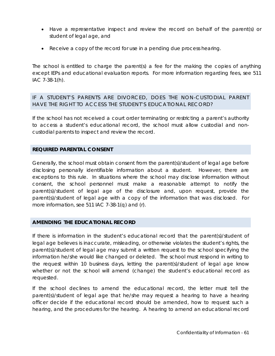- Have a representative inspect and review the record on behalf of the parent(s) or student of legal age, and
- Receive a copy of the record for use in a pending due process hearing.

The school is entitled to charge the parent(s) a fee for the making the copies of anything except IEPs and educational evaluation reports. For more information regarding fees, see 511 IAC 7-38-1(h).

IF A STUDENT'S PARENTS ARE DIVORCED, DOES THE NON-CUSTODIAL PARENT HAVE THE RIGHT TO ACCESS THE STUDENT'S EDUCATIONAL RECORD?

If the school has not received a court order terminating or restricting a parent's authority to access a student's educational record, the school must allow custodial and noncustodial parents to inspect and review the record.

#### **REQUIRED PARENTAL CONSENT**

Generally, the school must obtain consent from the parent(s)/student of legal age before disclosing personally identifiable information about a student. However, there are exceptions to this rule. In situations where the school may disclose information without consent, the school personnel must make a reasonable attempt to notify the parent(s)/student of legal age of the disclosure and, upon request, provide the parent(s)/student of legal age with a copy of the information that was disclosed. For more information, see 511 IAC 7-38-1(q) and (r).

#### **AMENDING THE EDUCATIONAL RECORD**

If there is information in the student's educational record that the parent(s)/student of legal age believes is inaccurate, misleading, or otherwise violates the student's rights, the parent(s)/student of legal age may submit a written request to the school specifying the information he/she would like changed or deleted. The school must respond in writing to the request within 10 business days, letting the parent(s)/student of legal age know whether or not the school will amend (change) the student's educational record as requested.

If the school declines to amend the educational record, the letter must tell the parent(s)/student of legal age that he/she may request a hearing to have a hearing officer decide if the educational record should be amended, how to request such a hearing, and the procedures for the hearing. A hearing to amend an educational record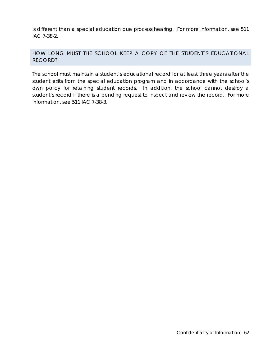is different than a special education due process hearing. For more information, see 511 IAC 7-38-2.

# HOW LONG MUST THE SCHOOL KEEP A COPY OF THE STUDENT'S EDUCATIONAL RECORD?

The school must maintain a student's educational record for at least three years after the student exits from the special education program and in accordance with the school's own policy for retaining student records. In addition, the school cannot destroy a student's record if there is a pending request to inspect and review the record. For more information, see 511 IAC 7-38-3.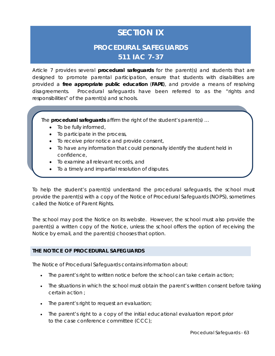# **SECTION IX**

# **PROCEDURAL SAFEGUARDS 511 IAC 7-37**

Article 7 provides several **procedural safeguards** for the parent(s) and students that are designed to promote parental participation, ensure that students with disabilities are provided a **free appropriate public education** (**FAPE**), and provide a means of resolving disagreements. Procedural safeguards have been referred to as the "rights and responsibilities" of the parent(s) and schools.

The **procedural safeguards** affirm the right of the student's parent(s) …

- To be fully informed,
- To participate in the process,
- To receive prior notice and provide consent,
- To have any information that could personally identify the student held in confidence,
- To examine all relevant records, and
- To a timely and impartial resolution of disputes.

To help the student's parent(s) understand the procedural safeguards, the school must provide the parent(s) with a copy of the *Notice of Procedural Safeguards (NOPS)*, sometimes called the Notice of Parent Rights.

The school may post the *Notice* on its website. However, the school must also provide the parent(s) a written copy of the *Notice,* unless the school offers the option of receiving the *Notice* by email, and the parent(s) chooses that option.

#### **THE NOTICE OF PROCEDURAL SAFEGUARDS**

The *Notice of Procedural Safeguards* contains information about:

- The parent's right to written notice before the school can take certain action;
- The situations in which the school must obtain the parent's written consent before taking certain action ;
- The parent's right to request an evaluation;
- The parent's right to a copy of the initial educational evaluation report prior to the case conference committee (CCC);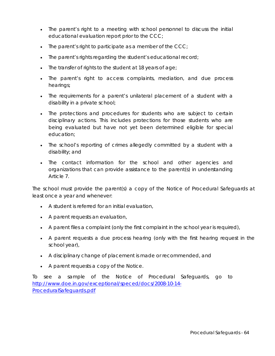- The parent's right to a meeting with school personnel to discuss the initial educational evaluation report prior to the CCC;
- The parent's right to participate as a member of the CCC;
- The parent's rights regarding the student's educational record;
- The transfer of rights to the student at 18 years of age;
- The parent's right to access complaints, mediation, and due process hearings;
- The requirements for a parent's unilateral placement of a student with a disability in a private school;
- The protections and procedures for students who are subject to certain disciplinary actions. This includes protections for those students who are being evaluated but have not yet been determined eligible for special education;
- The school's reporting of crimes allegedly committed by a student with a disability; and
- The contact information for the school and other agencies and organizations that can provide assistance to the parent(s) in understanding Article 7.

The school must provide the parent(s) a copy of the *Notice of Procedural Safeguards* at least once a year and whenever:

- A student is referred for an initial evaluation,
- A parent requests an evaluation,
- A parent files a complaint (only the first complaint in the school year is required),
- A parent requests a due process hearing (only with the first hearing request in the school year),
- A disciplinary change of placement is made or recommended, and
- A parent requests a copy of the *Notice.*

To see a sample of the *Notice of Procedural Safeguards*, go to [http://www.doe.in.gov/exceptional/speced/docs/2008-10-14-](http://www.doe.in.gov/exceptional/speced/docs/2008-10-14-ProceduralSafeguards.pdf) [ProceduralSafeguards.pdf](http://www.doe.in.gov/exceptional/speced/docs/2008-10-14-ProceduralSafeguards.pdf)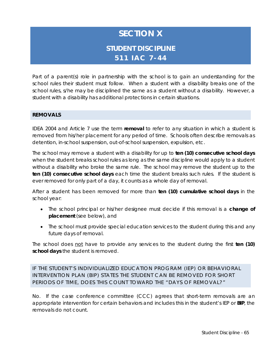# **SECTION X STUDENT DISCIPLINE 511 IAC 7-44**

Part of a parent(s) role in partnership with the school is to gain an understanding for the school rules their student must follow. When a student with a disability breaks one of the school rules, s/he may be disciplined the same as a student without a disability. However, a student with a disability has additional protections in certain situations.

#### **REMOVALS**

IDEA 2004 and Article 7 use the term **removal** to refer to any situation in which a student is removed from his/her placement for any period of time. Schools often describe removals as detention, in-school suspension, out-of-school suspension, expulsion, etc.

The school may remove a student with a disability for up to **ten (10) consecutive school days** when the student breaks school rules as long as the same discipline would apply to a student without a disability who broke the same rule. The school may remove the student up to the **ten (10) consecutive school days** each time the student breaks such rules. If the student is ever removed for only part of a day, it counts as a whole day of removal.

After a student has been removed for more than **ten (10) cumulative school days** in the school year:

- The school principal or his/her designee must decide if this removal is a **change of placement** (see below), and
- The school must provide special education services to the student during this and any future days of removal.

The school does not have to provide any services to the student during the first **ten (10) school days** the student is removed.

IF THE STUDENT'S INDIVIDUALIZED EDUCATION PROGRAM (IEP) OR BEHAVIORAL INTERVENTION PLAN (BIP) STATES THE STUDENT CAN BE REMOVED FOR SHORT PERIODS OF TIME, DOES THIS COUNT TOWARD THE "DAYS OF REMOVAL?"

No. If the case conference committee (CCC) agrees that short-term removals are an appropriate intervention for certain behaviors and includes this in the student's IEP or **BIP**, the removals do not count.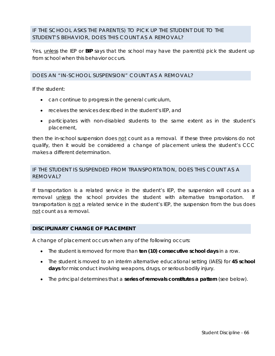# IF THE SCHOOL ASKS THE PARENT(S) TO PICK UP THE STUDENT DUE TO THE STUDENT'S BEHAVIOR, DOES THIS COUNT AS A REMOVAL?

Yes, unless the IEP or **BIP** says that the school may have the parent(s) pick the student up from school when this behavior occurs.

## DOES AN "IN-SCHOOL SUSPENSION" COUNT AS A REMOVAL?

If the student:

- can continue to progress in the general curriculum,
- receives the services described in the student's IEP, and
- participates with non-disabled students to the same extent as in the student's placement,

then the in-school suspension does not count as a removal. If these three provisions do not qualify, then it would be considered a change of placement unless the student's CCC makes a different determination.

# IF THE STUDENT IS SUSPENDED FROM TRANSPORTATION, DOES THIS COUNT AS A REMOVAL?

If transportation is a related service in the student's IEP, the suspension will count as a removal unless the school provides the student with alternative transportation. If transportation is not a related service in the student's IEP, the suspension from the bus does not count as a removal.

#### **DISCIPLINARY CHANGE OF PLACEMENT**

A change of placement occurs when any of the following occurs:

- The student is removed for more than **ten (10) consecutive school days** in a row.
- The student is moved to an interim alternative educational setting (IAES) for **45 school days** for misconduct involving weapons, drugs, or serious bodily injury.
- The principal determines that a **series of removals constitutes a pattern** (see below).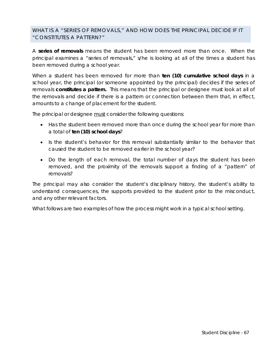# WHAT IS A "SERIES OF REMOVALS," AND HOW DOES THE PRINCIPAL DECIDE IF IT "CONSTITUTES A PATTERN?"

A **series of removals** means the student has been removed more than once. When the principal examines a "series of removals," s/he is looking at all of the times a student has been removed during a school year.

When a student has been removed for more than **ten (10) cumulative school days** in a school year, the principal (or someone appointed by the principal) decides if the series of removals **constitutes a pattern.** This means that the principal or designee must look at all of the removals and decide if there is a pattern or connection between them that, in effect, amounts to a change of placement for the student.

The principal or designee must consider the following questions:

- Has the student been removed more than once during the school year for more than a total of **ten (10) school days**?
- Is the student's behavior for this removal substantially similar to the behavior that caused the student to be removed earlier in the school year?
- Do the length of each removal, the total number of days the student has been removed, and the proximity of the removals support a finding of a "pattern" of removals?

The principal may also consider the student's disciplinary history, the student's ability to understand consequences, the supports provided to the student prior to the misconduct, and any other relevant factors.

What follows are two examples of how the process might work in a typical school setting.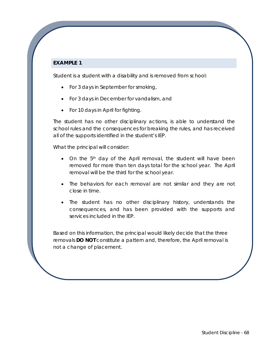#### **EXAMPLE 1**

Student is a student with a disability and is removed from school:

- For 3 days in September for smoking,
- For 3 days in December for vandalism, and
- For 10 days in April for fighting.

The student has no other disciplinary actions, is able to understand the school rules and the consequences for breaking the rules, and has received all of the supports identified in the student's IEP.

What the principal will consider:

- On the 5<sup>th</sup> day of the April removal, the student will have been removed for more than ten days total for the school year. The April removal will be the third for the school year.
- The behaviors for each removal are not similar and they are not close in time.
- The student has no other disciplinary history, understands the consequences, and has been provided with the supports and services included in the IEP.

Based on this information, the principal would likely decide that the three removals **DO NOT** constitute a pattern and, therefore, the April removal is not a change of placement.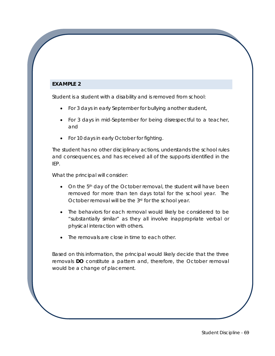# **EXAMPLE 2**

Student is a student with a disability and is removed from school:

- For 3 days in early September for bullying another student,
- For 3 days in mid-September for being disrespectful to a teacher, and
- For 10 days in early October for fighting.

The student has no other disciplinary actions, understands the school rules and consequences, and has received all of the supports identified in the IEP.

What the principal will consider:

- On the 5<sup>th</sup> day of the October removal, the student will have been removed for more than ten days total for the school year. The October removal will be the 3rd for the school year.
- The behaviors for each removal would likely be considered to be "substantially similar" as they all involve inappropriate verbal or physical interaction with others.
- The removals are close in time to each other.

Based on this information, the principal would likely decide that the three removals **DO** constitute a pattern and, therefore, the October removal would be a change of placement.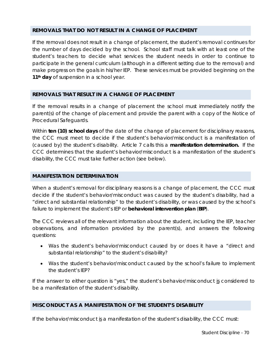### **REMOVALS THAT DO NOT RESULT IN A CHANGE OF PLACEMENT**

If the removal does not result in a change of placement, the student's removal continues for the number of days decided by the school. School staff must talk with at least one of the student's teachers to decide what services the student needs in order to continue to participate in the general curriculum (although in a different setting due to the removal) and make progress on the goals in his/her IEP. These services must be provided beginning on the **11th day** of suspension in a school year.

#### **REMOVALS THAT RESULT IN A CHANGE OF PLACEMENT**

If the removal results in a change of placement the school must immediately notify the parent(s) of the change of placement and provide the parent with a copy of the Notice of Procedural Safeguards.

Within **ten (10) school days** of the date of the change of placement for disciplinary reasons, the CCC must meet to decide if the student's behavior/misconduct is a manifestation of (caused by) the student's disability. Article 7 calls this a **manifestation determination.** If the CCC determines that the student's behavior/misconduct is a manifestation of the student's disability, the CCC must take further action (see below).

#### **MANIFESTATION DETERMINATION**

When a student's removal for disciplinary reasons is a change of placement, the CCC must decide if the student's behavior/misconduct was caused by the student's disability, had a "direct and substantial relationship" to the student's disability, or was caused by the school's failure to implement the student's IEP or **behavioral intervention plan** (**BIP**).

The CCC reviews all of the relevant information about the student, including the IEP, teacher observations, and information provided by the parent(s), and answers the following questions:

- Was the student's behavior/misconduct caused by or does it have a "direct and substantial relationship" to the student's disability?
- Was the student's behavior/misconduct caused by the school's failure to implement the student's IEP?

If the answer to either question is "yes," the student's behavior/misconduct is considered to be a manifestation of the student's disability.

# **MISCONDUCT AS A MANIFESTATION OF THE STUDENT'S DISABILITY**

If the behavior/misconduct is a manifestation of the student's disability, the CCC must: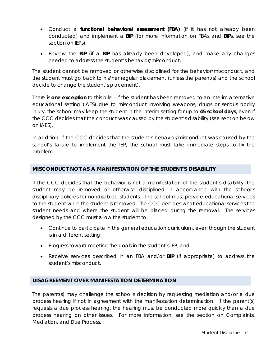- Conduct a **functional behavioral assessment (FBA)** (if it has not already been conducted) and implement a **BIP** (for more information on FBAs and **BIP**s, see the section on IEPs).
- Review the **BIP** (if a **BIP** has already been developed), and make any changes needed to address the student's behavior/misconduct.

The student cannot be removed or otherwise disciplined for the behavior/misconduct, and the student must go back to his/her regular placement (unless the parent(s) and the school decide to change the student's placement).

There is **one exception** to this rule – if the student has been removed to an interim alternative educational setting (IAES) due to misconduct involving weapons, drugs or serious bodily injury, the school may keep the student in the interim setting for up to **45 school days**, even if the CCC decides that the conduct was caused by the student's disability (see section below on *IAES*).

In addition, if the CCC decides that the student's behavior/misconduct was caused by the school's failure to implement the IEP, the school must take immediate steps to fix the problem.

## **MISCONDUCT NOT AS A MANIFESTATION OF THE STUDENT'S DISABILITY**

If the CCC decides that the behavior is not a manifestation of the student's disability, the student may be removed or otherwise disciplined in accordance with the school's disciplinary policies for nondisabled students. The school must provide educational services to the student while the student is removed. The CCC decides what educational services the student needs and where the student will be placed during the removal. The services designed by the CCC must allow the student to:

- Continue to participate in the general education curriculum, even though the student is in a different setting;
- Progress toward meeting the goals in the student's IEP; and
- Receive services described in an FBA and/or **BIP** (if appropriate) to address the student's misconduct.

# **DISAGREEMENT OVER MANIFESTATION DETERMINATION**

The parent(s) may challenge the school's decision by requesting mediation and/or a due process hearing if not in agreement with the manifestation determination. If the parent(s) requests a due process hearing, the hearing must be conducted more quickly than a due process hearing on other issues. For more information, see the section on *Complaints, Mediation, and Due Process*.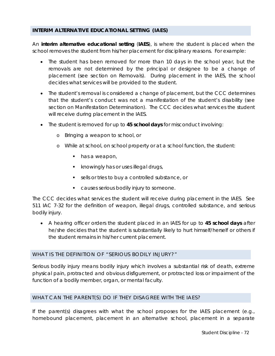# **INTERIM ALTERNATIVE EDUCATIONAL SETTING (IAES)**

An **interim alternative educational setting** (**IAES**), is where the student is placed when the school removes the student from his/her placement for disciplinary reasons. For example:

- The student has been removed for more than 10 days in the school year, but the removals are not determined by the principal or designee to be a change of placement (see section on *Removals*). During placement in the IAES, the school decides what services will be provided to the student.
- The student's removal is considered a change of placement, but the CCC determines that the student's conduct was not a manifestation of the student's disability (see section on *Manifestation Determination*). The CCC decides what services the student will receive during placement in the IAES.
- The student is removed for up to **45 school days** for misconduct involving:
	- o Bringing a weapon to school, or
	- o While at school, on school property or at a school function, the student:
		- has a weapon,
		- **K** knowingly has or uses illegal drugs,
		- **sells or tries to buy a controlled substance, or**
		- **Causes serious bodily injury to someone.**

The CCC decides what services the student will receive during placement in the IAES. See 511 IAC 7-32 for the definition of weapon, illegal drugs, controlled substance, and serious bodily injury.

• A hearing officer orders the student placed in an IAES for up to **45 school days** after he/she decides that the student is substantially likely to hurt himself/herself or others if the student remains in his/her current placement.

#### WHAT IS THE DEFINITION OF "SERIOUS BODILY INJURY?"

Serious bodily injury means bodily injury which involves a substantial risk of death, extreme physical pain, protracted and obvious disfigurement, or protracted loss or impairment of the function of a bodily member, organ, or mental faculty.

#### WHAT CAN THE PARENT(S) DO IF THEY DISAGREE WITH THE IAES?

If the parent(s) disagrees with what the school proposes for the IAES placement (e.g., homebound placement, placement in an alternative school, placement in a separate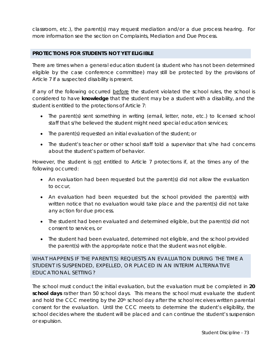classroom, etc.), the parent(s) may request mediation and/or a due process hearing. For more information see the section on *Complaints, Mediation and Due Process*.

#### **PROTECTIONS FOR STUDENTS NOT YET ELIGIBLE**

There are times when a general education student (a student who has not been determined eligible by the case conference committee) may still be protected by the provisions of Article 7 if a suspected disability is present.

If any of the following occurred before the student violated the school rules, the school is considered to have **knowledge** that the student may be a student with a disability, and the student is entitled to the protections of Article 7:

- The parent(s) sent something in writing (email, letter, note, etc.) to licensed school staff that s/he believed the student might need special education services;
- The parent(s) requested an initial evaluation of the student; or
- The student's teacher or other school staff told a supervisor that s/he had concerns about the student's pattern of behavior.

However, the student is not entitled to Article 7 protections if, at the times any of the following occurred:

- An evaluation had been requested but the parent(s) did not allow the evaluation to occur,
- An evaluation had been requested but the school provided the parent(s) with written notice that no evaluation would take place and the parent(s) did not take any action for due process.
- The student had been evaluated and determined eligible, but the parent(s) did not consent to services, or
- The student had been evaluated, determined not eligible, and the school provided the parent(s) with the appropriate notice that the student was not eligible.

#### WHAT HAPPENS IF THE PARENT(S) REQUESTS AN EVALUATION DURING THE TIME A STUDENT IS SUSPENDED, EXPELLED, OR PLACED IN AN INTERIM ALTERNATIVE EDUCATIONAL SETTING?

The school must conduct the initial evaluation, but the evaluation must be completed in **20 school days** rather than 50 school days. This means the school must evaluate the student and hold the CCC meeting by the 20<sup>th</sup> school day after the school receives written parental consent for the evaluation. Until the CCC meets to determine the student's eligibility, the school decides where the student will be placed and can continue the student's suspension or expulsion.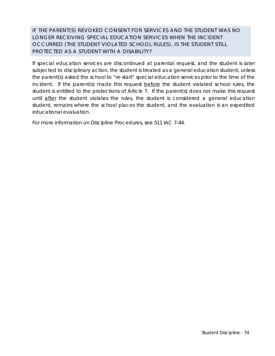#### IF THE PARENT(S) REVOKED CONSENT FOR SERVICES AND THE STUDENT WAS NO LONGER RECEIVING SPECIAL EDUCATION SERVICES WHEN THE INCIDENT OCCURRED (THE STUDENT VIOLATED SCHOOL RULES), IS THE STUDENT STILL PROTECTED AS A STUDENT WITH A DISABILITY?

If special education services are discontinued at parental request, and the student is later subjected to disciplinary action, the student is treated as a general education student, unless the parent(s) asked the school to "re-start" special education services prior to the time of the incident. If the parent(s) made this request before the student violated school rules, the student is entitled to the protections of Article 7. If the parent(s) does not make this request until after the student violates the rules, the student is considered a general education student, remains where the school places the student, and the evaluation is an expedited educational evaluation.

For more information on *Discipline Procedures*, see 511 IAC 7-44.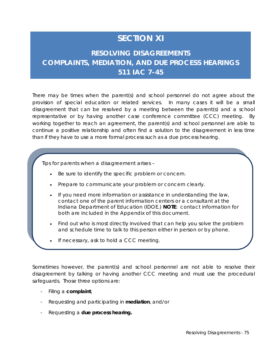## **SECTION XI**

## **RESOLVING DISAGREEMENTS COMPLAINTS, MEDIATION, AND DUE PROCESS HEARINGS 511 IAC 7-45**

There may be times when the parent(s) and school personnel do not agree about the provision of special education or related services. In many cases it will be a small disagreement that can be resolved by a meeting between the parent(s) and a school representative or by having another case conference committee (CCC) meeting. By working together to reach an agreement, the parent(s) and school personnel are able to continue a positive relationship and often find a solution to the disagreement in less time than if they have to use a more formal process such as a due process hearing.

Tips for parents when a disagreement arises –

- Be sure to identify the specific problem or concern.
- Prepare to communicate your problem or concern clearly.
- If you need more information or assistance in understanding the law, contact one of the parent information centers or a consultant at the Indiana Department of Education (IDOE.) **NOTE**: contact information for both are included in the Appendix of this document.
- Find out who is most directly involved that can help you solve the problem and schedule time to talk to this person either in person or by phone.
- If necessary, ask to hold a CCC meeting.

Sometimes however, the parent(s) and school personnel are not able to resolve their disagreement by talking or having another CCC meeting and must use the procedural safeguards. Those three options are:

- Filing a **complaint**,
- Requesting and participating in **mediation**, and/or
- Requesting a **due process hearing.**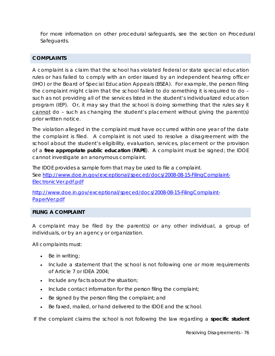For more information on other procedural safeguards, see the section on *Procedural Safeguards*.

#### **COMPLAINTS**

A complaint is a claim that the school has violated federal or state special education rules or has failed to comply with an order issued by an independent hearing officer (IHO) or the Board of Special Education Appeals (BSEA). For example, the person filing the complaint might claim that the school failed to do something it is required to do – such as not providing all of the services listed in the student's individualized education program (IEP). Or, it may say that the school is doing something that the rules say it cannot do – such as changing the student's placement without giving the parent(s) prior written notice.

The violation alleged in the complaint must have occurred within one year of the date the complaint is filed. A complaint is not used to resolve a disagreement with the school about the student's eligibility, evaluation, services, placement or the provision of a **free appropriate public education** (**FAPE**). A complaint must be signed; the IDOE cannot investigate an anonymous complaint.

The IDOE provides a sample form that may be used to file a complaint. See [http://www.doe.in.gov/exceptional/speced/docs/2008-08-15-FilingComplaint-](http://www.doe.in.gov/exceptional/speced/docs/2008-08-15-FilingComplaint-ElectronicVer.pdf.pdf)[ElectronicVer.pdf.pdf](http://www.doe.in.gov/exceptional/speced/docs/2008-08-15-FilingComplaint-ElectronicVer.pdf.pdf)

[http://www.doe.in.gov/exceptional/speced/docs/2008-08-15-FilingComplaint-](http://www.doe.in.gov/exceptional/speced/docs/2008-08-15-FilingComplaint-PaperVer.pdf)[PaperVer.pdf](http://www.doe.in.gov/exceptional/speced/docs/2008-08-15-FilingComplaint-PaperVer.pdf)

#### **FILING A COMPLAINT**

A complaint may be filed by the parent(s) or any other individual, a group of individuals, or by an agency or organization.

All complaints must:

- Be in writing;
- Include a statement that the school is not following one or more requirements of Article 7 or IDEA 2004;
- Include any facts about the situation;
- Include contact information for the person filing the complaint;
- Be signed by the person filing the complaint; and
- Be faxed, mailed, or hand delivered to the IDOE and the school.

If the complaint claims the school is not following the law regarding a **specific student**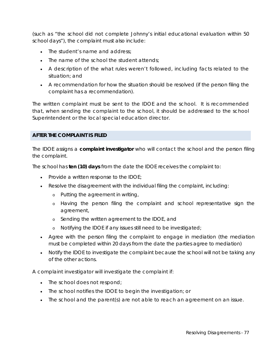(such as "the school did not complete Johnny's initial educational evaluation within 50 school days"), the complaint must also include:

- The student's name and address;
- The name of the school the student attends;
- A description of the what rules weren't followed, including facts related to the situation; and
- A recommendation for how the situation should be resolved (if the person filing the complaint has a recommendation).

The written complaint must be sent to the IDOE and the school. It is recommended that, when sending the complaint to the school, it should be addressed to the school Superintendent or the local special education director.

#### **AFTER THE COMPLAINT IS FILED**

The IDOE assigns a **complaint investigator** who will contact the school and the person filing the complaint.

The school has **ten (10) days** from the date the IDOE receives the complaint to:

- Provide a written response to the IDOE;
- Resolve the disagreement with the individual filing the complaint, including:
	- o Putting the agreement in writing,
	- o Having the person filing the complaint and school representative sign the agreement,
	- o Sending the written agreement to the IDOE, and
	- o Notifying the IDOE if any issues still need to be investigated;
- Agree with the person filing the complaint to engage in mediation (the mediation must be completed within 20 days from the date the parties agree to mediation)
- Notify the IDOE to investigate the complaint because the school will not be taking any of the other actions.

A complaint investigator will investigate the complaint if:

- The school does not respond;
- The school notifies the IDOE to begin the investigation; or
- The school and the parent(s) are not able to reach an agreement on an issue.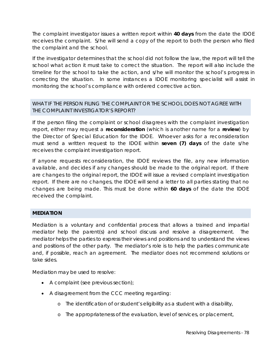The complaint investigator issues a written report within **40 days** from the date the IDOE receives the complaint. S/he will send a copy of the report to both the person who filed the complaint and the school.

If the investigator determines that the school did not follow the law, the report will tell the school what action it must take to correct the situation. The report will also include the timeline for the school to take the action, and s/he will monitor the school's progress in correcting the situation. In some instances a IDOE monitoring specialist will assist in monitoring the school's compliance with ordered corrective action.

#### WHAT IF THE PERSON FILING THE COMPLAINT OR THE SCHOOL DOES NOT AGREE WITH THE COMPLAINT INVESTIGATOR'S REPORT?

If the person filing the complaint or school disagrees with the complaint investigation report, either may request a **reconsideration** (which is another name for a **review**) by the Director of Special Education for the IDOE. Whoever asks for a reconsideration must send a written request to the IDOE within **seven (7) days** of the date s/he receives the complaint investigation report.

If anyone requests reconsideration, the IDOE reviews the file, any new information available, and decides if any changes should be made to the original report. If there are changes to the original report, the IDOE will issue a revised complaint investigation report. If there are no changes, the IDOE will send a letter to all parties stating that no changes are being made. This must be done within **60 days** of the date the IDOE received the complaint.

#### **MEDIATION**

Mediation is a voluntary and confidential process that allows a trained and impartial mediator help the parent(s) and school discuss and resolve a disagreement. The mediator helps the parties to express their views and positions and to understand the views and positions of the other party. The mediator's role is to help the parties communicate and, if possible, reach an agreement. The mediator does not recommend solutions or take sides.

Mediation may be used to resolve:

- A complaint (see previous section);
- A disagreement from the CCC meeting regarding:
	- o The identification of or student's eligibility as a student with a disability,
	- o The appropriateness of the evaluation, level of services, or placement,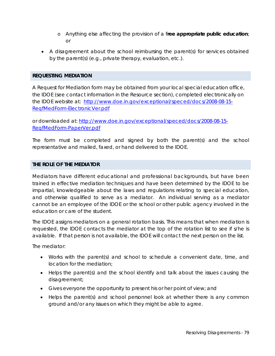- o Anything else affecting the provision of a f**ree appropriate public education**; or
- A disagreement about the school reimbursing the parent(s) for services obtained by the parent(s) (e.g., private therapy, evaluation, etc.).

#### **REQUESTING MEDIATION**

A *Request for Mediation* form may be obtained from your local special education office, the IDOE (see contact information in the *Resource* section), completed electronically on the IDOE website at: [http://www.doe.in.gov/exceptional/speced/docs/2008-08-15-](http://www.doe.in.gov/exceptional/speced/docs/2008-08-15-ReqfMedForm-ElectronicVer.pdf) [ReqfMedForm-ElectronicVer.pdf](http://www.doe.in.gov/exceptional/speced/docs/2008-08-15-ReqfMedForm-ElectronicVer.pdf)

or downloaded at: [http://www.doe.in.gov/exceptional/speced/docs/2008-08-15-](http://www.doe.in.gov/exceptional/speced/docs/2008-08-15-ReqfMedForm-PaperVer.pdf) [ReqfMedForm-PaperVer.pdf](http://www.doe.in.gov/exceptional/speced/docs/2008-08-15-ReqfMedForm-PaperVer.pdf)

The form must be completed and signed by both the parent(s) and the school representative and mailed, faxed, or hand delivered to the IDOE.

#### **THE ROLE OF THE MEDIATOR**

Mediators have different educational and professional backgrounds, but have been trained in effective mediation techniques and have been determined by the IDOE to be impartial, knowledgeable about the laws and regulations relating to special education, and otherwise qualified to serve as a mediator. An individual serving as a mediator cannot be an employee of the IDOE or the school or other public agency involved in the education or care of the student.

The IDOE assigns mediators on a general rotation basis. This means that when mediation is requested, the IDOE contacts the mediator at the top of the rotation list to see if s/he is available. If that person is not available, the IDOE will contact the next person on the list.

The mediator:

- Works with the parent(s) and school to schedule a convenient date, time, and location for the mediation;
- Helps the parent(s) and the school identify and talk about the issues causing the disagreement;
- Gives everyone the opportunity to present his or her point of view; and
- Helps the parent(s) and school personnel look at whether there is any common ground and/or any issues on which they might be able to agree.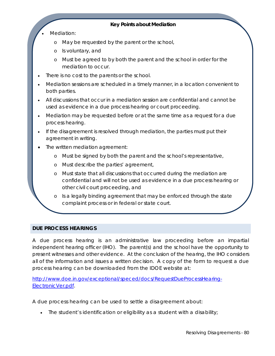#### **Key Points about Mediation**

Mediation:

- o May be requested by the parent or the school,
- o Is voluntary, and
- o Must be agreed to by both the parent and the school in order for the mediation to occur.
- There is no cost to the parents or the school.
- Mediation sessions are scheduled in a timely manner, in a location convenient to both parties.
- All discussions that occur in a mediation session are confidential and cannot be used as evidence in a due process hearing or court proceeding.
- Mediation may be requested before or at the same time as a request for a due process hearing.
- If the disagreement is resolved through mediation, the parties must put their agreement in writing.
- The written mediation agreement:
	- o Must be signed by both the parent and the school's representative,
	- o Must describe the parties' agreement,
	- o Must state that all discussions that occurred during the mediation are confidential and will not be used as evidence in a due process hearing or other civil court proceeding, and
	- o Is a legally binding agreement that may be enforced through the state complaint process or in federal or state court.

#### **DUE PROCESS HEARINGS**

A due process hearing is an administrative law proceeding before an impartial independent hearing officer (IHO). The parent(s) and the school have the opportunity to present witnesses and other evidence. At the conclusion of the hearing, the IHO considers all of the information and issues a written decision. A copy of the form to request a due process hearing can be downloaded from the IDOE website at:

[http://www.doe.in.gov/exceptional/speced/docs/RequestDueProcessHearing-](http://www.doe.in.gov/exceptional/speced/docs/RequestDueProcessHearing-ElectronicVer.pdf)[ElectronicVer.pdf.](http://www.doe.in.gov/exceptional/speced/docs/RequestDueProcessHearing-ElectronicVer.pdf)

A due process hearing can be used to settle a disagreement about:

• The student's identification or eligibility as a student with a disability;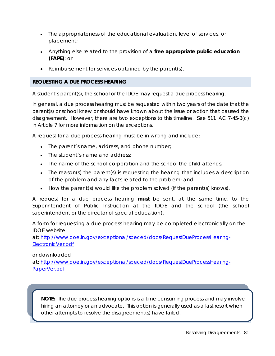- The appropriateness of the educational evaluation, level of services, or placement;
- Anything else related to the provision of a **free appropriate public education (FAPE)**; or
- Reimbursement for services obtained by the parent(s).

#### **REQUESTING A DUE PROCESS HEARING**

A student's parent(s), the school or the IDOE may request a due process hearing.

In general, a due process hearing must be requested within two years of the date that the parent(s) or school knew or should have known about the issue or action that caused the disagreement. However, there are two exceptions to this timeline. See 511 IAC 7-45-3(c) in Article 7 for more information on the exceptions.

A request for a due process hearing must be in writing and include:

• The parent's name, address, and phone number;

**AFTER THE REQUEST FOR A DUE PROCESS HEARING IS FILED**

- The student's name and address:
- The name of the school corporation and the school the child attends;
- The reason(s) the parent(s) is requesting the hearing that includes a description of the problem and any facts related to the problem; and
- How the parent(s) would like the problem solved (if the parent(s) knows).

A request for a due process hearing **must** be sent, at the same time, to the Superintendent of Public Instruction at the IDOE and the school (the school superintendent or the director of special education).

A form for requesting a due process hearing may be completed electronically on the IDOE website

at: [http://www.doe.in.gov/exceptional/speced/docs/RequestDueProcessHearing-](http://www.doe.in.gov/exceptional/speced/docs/RequestDueProcessHearing-ElectronicVer.pdf)[ElectronicVer.pdf](http://www.doe.in.gov/exceptional/speced/docs/RequestDueProcessHearing-ElectronicVer.pdf)

or downloaded

at: [http://www.doe.in.gov/exceptional/speced/docs/RequestDueProcessHearing-](http://www.doe.in.gov/exceptional/speced/docs/RequestDueProcessHearing-PaperVer.pdf)[PaperVer.pdf](http://www.doe.in.gov/exceptional/speced/docs/RequestDueProcessHearing-PaperVer.pdf)

*NOTE:* The due process hearing options is a time consuming process and may involve hiring an attorney or an advocate. This option is generally used as a last resort when other attempts to resolve the disagreement(s) have failed.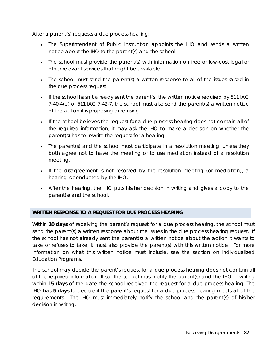After a parent(s) requests a due process hearing:

- The Superintendent of Public Instruction appoints the IHO and sends a written notice about the IHO to the parent(s) and the school.
- The school must provide the parent(s) with information on free or low-cost legal or other relevant services that might be available.
- The school must send the parent(s) a written response to all of the issues raised in the due process request.
- If the school hasn't already sent the parent(s) the written notice required by 511 IAC  $7-40-4(e)$  or 511 IAC  $7-42-7$ , the school must also send the parent(s) a written notice of the action it is proposing or refusing.
- If the school believes the request for a due process hearing does not contain all of the required information, it may ask the IHO to make a decision on whether the parent(s) has to rewrite the request for a hearing.
- The parent(s) and the school must participate in a resolution meeting, unless they both agree not to have the meeting or to use mediation instead of a resolution meeting.
- If the disagreement is not resolved by the resolution meeting (or mediation), a hearing is conducted by the IHO.
- After the hearing, the IHO puts his/her decision in writing and gives a copy to the parent(s) and the school.

#### **WRITTEN RESPONSE TO A REQUEST FOR DUE PROCESS HEARING**

Within **10 days** of receiving the parent's request for a due process hearing, the school must send the parent(s) a written response about the issues in the due process hearing request. If the school has not already sent the parent(s) a written notice about the action it wants to take or refuses to take, it must also provide the parent(s) with this written notice. For more information on what this written notice must include, see the section on *Individualized Education Programs*.

The school may decide the parent's request for a due process hearing does not contain all of the required information. If so, the school must notify the parent(s) and the IHO in writing within **15 days** of the date the school received the request for a due process hearing. The IHO has **5 days** to decide if the parent's request for a due process hearing meets all of the requirements. The IHO must immediately notify the school and the parent(s) of his/her decision in writing.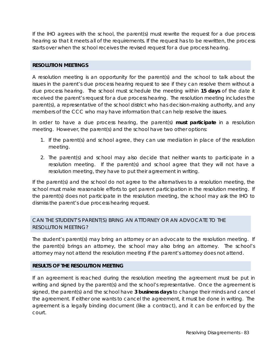If the IHO agrees with the school, the parent(s) must rewrite the request for a due process hearing so that it meets all of the requirements. If the request has to be rewritten, the process starts over when the school receives the revised request for a due process hearing.

#### **RESOLUTION MEETINGS**

A resolution meeting is an opportunity for the parent(s) and the school to talk about the issues in the parent's due process hearing request to see if they can resolve them without a due process hearing. The school must schedule the meeting within **15 days** of the date it received the parent's request for a due process hearing. The resolution meeting includes the parent(s), a representative of the school district who has decision-making authority, and any members of the CCC who may have information that can help resolve the issues.

In order to have a due process hearing, the parent(s) **must participate** in a resolution meeting. However, the parent(s) and the school have two other options:

- 1. If the parent(s) and school agree, they can use mediation in place of the resolution meeting.
- 2. The parent(s) and school may also decide that neither wants to participate in a resolution meeting. If the parent(s) and school agree that they will not have a resolution meeting, they have to put their agreement in writing.

If the parent(s) and the school do not agree to the alternatives to a resolution meeting, the school must make reasonable efforts to get parent participation in the resolution meeting. If the parent(s) does not participate in the resolution meeting, the school may ask the IHO to dismiss the parent's due process hearing request.

#### CAN THE STUDENT'S PARENT(S) BRING AN ATTORNEY OR AN ADVOCATE TO THE RESOLUTION MEETING?

The student's parent(s) may bring an attorney or an advocate to the resolution meeting. If the parent(s) brings an attorney, the school may also bring an attorney. The school's attorney may not attend the resolution meeting if the parent's attorney does not attend.

#### **RESULTS OF THE RESOLUTION MEETING**

If an agreement is reached during the resolution meeting the agreement must be put in writing and signed by the parent(s) and the school's representative. Once the agreement is signed, the parent(s) and the school have **3 business days** to change their minds and cancel the agreement. If either one wants to cancel the agreement, it must be done in writing. The agreement is a legally binding document (like a contract), and it can be enforced by the court.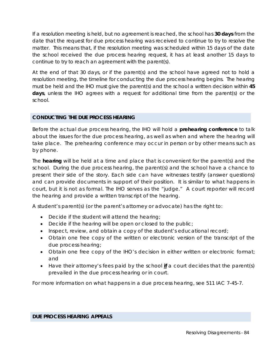If a resolution meeting is held, but no agreement is reached, the school has **30 days** from the date that the request for due process hearing was received to continue to try to resolve the matter. This means that, if the resolution meeting was scheduled within 15 days of the date the school received the due process hearing request, it has at least another 15 days to continue to try to reach an agreement with the parent(s).

At the end of that 30 days, or if the parent(s) and the school have agreed not to hold a resolution meeting, the timeline for conducting the due process hearing begins. The hearing must be held and the IHO must give the parent(s) and the school a written decision within **45 days**, unless the IHO agrees with a request for additional time from the parent(s) or the school.

#### **CONDUCTING THE DUE PROCESS HEARING**

Before the actual due process hearing, the IHO will hold a **prehearing conference** to talk about the issues for the due process hearing, as well as when and where the hearing will take place. The prehearing conference may occur in person or by other means such as by phone.

The **hearing** will be held at a time and place that is convenient for the parent(s) and the school. During the due process hearing, the parent(s) and the school have a chance to present their side of the story. Each side can have witnesses testify (answer questions) and can provide documents in support of their position. It is similar to what happens in court, but it is not as formal. The IHO serves as the "judge." A court reporter will record the hearing and provide a written transcript of the hearing.

A student's parent(s) (or the parent's attorney or advocate) has the right to:

- Decide if the student will attend the hearing;
- Decide if the hearing will be open or closed to the public;
- Inspect, review, and obtain a copy of the student's educational record;
- Obtain one free copy of the written or electronic version of the transcript of the due process hearing;
- Obtain one free copy of the IHO's decision in either written or electronic format; and
- Have their attorney's fees paid by the school **if** a court decides that the parent(s) prevailed in the due process hearing or in court.

For more information on what happens in a due process hearing, see 511 IAC 7-45-7.

#### **DUE PROCESS HEARING APPEALS**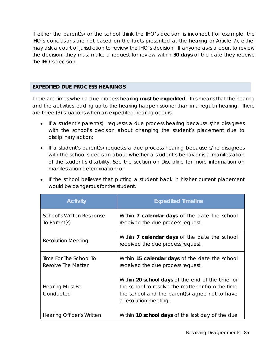If either the parent(s) or the school think the IHO's decision is incorrect (for example, the IHO's conclusions are not based on the facts presented at the hearing or Article 7), either may ask a court of jurisdiction to review the IHO's decision. If anyone asks a court to review the decision, they must make a request for review within **30 days** of the date they receive the IHO's decision.

#### **EXPEDITED DUE PROCESS HEARINGS**

There are times when a due process hearing **must be expedited**. This means that the hearing and the activities leading up to the hearing happen sooner than in a regular hearing. There are three (3) situations when an expedited hearing occurs:

- If a student's parent(s) requests a due process hearing because s/he disagrees with the school's decision about changing the student's placement due to disciplinary action;
- If a student's parent(s) requests a due process hearing because s/he disagrees with the school's decision about whether a student's behavior is a manifestation of the student's disability. See the section on *Discipline* for more information on manifestation determination; or

| • If the school believes that putting a student back in his/her current placement |
|-----------------------------------------------------------------------------------|
| would be dangerous for the student.                                               |

| <b>Activity</b>                              | <b>Expedited Timeline</b>                                                                                                                                                        |  |  |
|----------------------------------------------|----------------------------------------------------------------------------------------------------------------------------------------------------------------------------------|--|--|
| School's Written Response<br>To Parent(s)    | Within 7 calendar days of the date the school<br>received the due process request.                                                                                               |  |  |
| <b>Resolution Meeting</b>                    | Within 7 calendar days of the date the school<br>received the due process request.                                                                                               |  |  |
| Time For The School To<br>Resolve The Matter | Within 15 calendar days of the date the school<br>received the due process request.                                                                                              |  |  |
| <b>Hearing Must Be</b><br>Conducted          | Within 20 school days of the end of the time for<br>the school to resolve the matter or from the time<br>the school and the parent(s) agree not to have<br>a resolution meeting. |  |  |
| Hearing Officer's Written                    | Within 10 school days of the last day of the due                                                                                                                                 |  |  |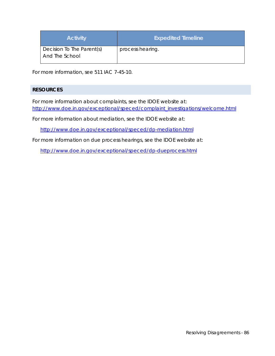| <b>Activity</b>                             | <b>Expedited Timeline</b> |
|---------------------------------------------|---------------------------|
| Decision To The Parent(s)<br>And The School | process hearing.          |

For more information, see 511 IAC 7-45-10.

#### **RESOURCES**

For more information about complaints, see the IDOE website at: [http://www.doe.in.gov/exceptional/speced/complaint\\_investigations/welcome.html](http://www.doe.in.gov/exceptional/speced/complaint_investigations/welcome.html)

For more information about mediation, see the IDOE website at:

<http://www.doe.in.gov/exceptional/speced/dp-mediation.html>

For more information on due process hearings, see the IDOE website at:

<http://www.doe.in.gov/exceptional/speced/dp-dueprocess.html>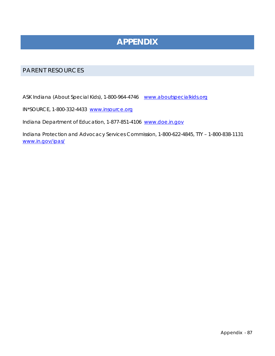# **APPENDIX**

### PARENT RESOURCES

ASK Indiana (About Special Kids), 1-800-964-4746 [www.aboutspecialkids.org](http://www.aboutspecialkids.org/)

IN\*SOURCE, 1-800-332-4433 [www.insource.org](http://www.insource.org/)

Indiana Department of Education, 1-877-851-4106 [www.doe.in.gov](http://www.doe.in.gov/)

Indiana Protection and Advocacy Services Commission, 1-800-622-4845, TTY – 1-800-838-1131 [www.in.gov/ipas/](http://www.in.gov/ipas/)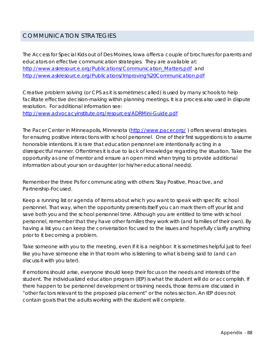### COMMUNICATION STRATEGIES

The Access for Special Kids out of Des Moines, Iowa offers a couple of brochures for parents and educators on effective communication strategies. They are available at: [http://www.askresource.org/Publications/Communication\\_Matters.pdf](http://www.askresource.org/Publications/Communication_Matters.pdf) and <http://www.askresource.org/Publications/Improving%20Communication.pdf>

Creative problem solving (or CPS as it is sometimes called) is used by many schools to help facilitate effective decision-making within planning meetings. It is a process also used in dispute resolution. For additional information see:

<http://www.advocacyinstitute.org/resources/ADRMini-Guide.pdf>

The Pacer Center in Minneapolis, Minnesota [\(http://www.pacer.org/](http://www.pacer.org/) ) offers several strategies for ensuring positive interactions with school personnel. One of their first suggestions is to assume honorable intentions. It is rare that education personnel are intentionally acting in a disrespectful manner. Oftentimes it is due to lack of knowledge regarding the situation. Take the opportunity as one of mentor and ensure an open mind when trying to provide additional information about your son or daughter (or his/her educational needs).

Remember the three Ps for communicating with others: Stay Positive, Proactive, and Partnership-Focused.

Keep a running list or agenda of items about which you want to speak with specific school personnel. That way, when the opportunity presents itself you can mark them off your list and save both you and the school personnel time. Although you are entitled to time with school personnel, remember that they have other families they work with (and families of their own). By having a list you can keep the conversation focused to the issues and hopefully clarify anything prior to it becoming a problem.

Take someone with you to the meeting, even if it is a neighbor. It is sometimes helpful just to feel like you have someone else in that room who is listening to what is being said to (and can discuss it with you later).

If emotions should arise, everyone should keep their focus on the needs and interests of the student. The individualized education program (IEP) is what the student will do or accomplish. If there happen to be personnel development or training needs, those items are discussed in "other factors relevant to the proposed placement" or the notes section. An IEP does not contain goals that the adults working with the student will complete.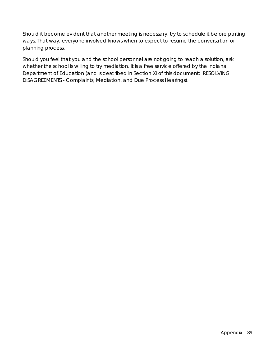Should it become evident that another meeting is necessary, try to schedule it before parting ways. That way, everyone involved knows when to expect to resume the conversation or planning process.

Should you feel that you and the school personnel are not going to reach a solution, ask whether the school is willing to try mediation. It is a free service offered by the Indiana Department of Education (and is described in Section XI of this document: *RESOLVING DISAGREEMENTS - Complaints, Mediation, and Due Process Hearings*).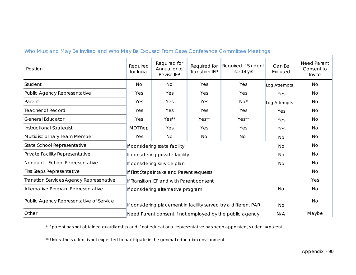|  | Who Must and May Be Invited and Who May Be Excused From Case Conference Committee Meetings |  |
|--|--------------------------------------------------------------------------------------------|--|
|  |                                                                                            |  |

| Position                                                                                                  | Required<br>for Initial                                  | Required for<br>Annual or to<br>Revise IEP | Required for<br><b>Transition IEP</b> | Required if Student<br>is $\geq 18$ yrs | Can Be<br>Excused | Need Parent<br>Consent to<br>Invite |
|-----------------------------------------------------------------------------------------------------------|----------------------------------------------------------|--------------------------------------------|---------------------------------------|-----------------------------------------|-------------------|-------------------------------------|
| Student                                                                                                   | No                                                       | <b>No</b>                                  | Yes                                   | Yes                                     | Log Attempts      | <b>No</b>                           |
| Public Agency Representative                                                                              | Yes                                                      | Yes                                        | Yes                                   | Yes                                     | Yes               | <b>No</b>                           |
| Parent                                                                                                    | Yes                                                      | Yes                                        | Yes                                   | $No*$                                   | Log Attempts      | <b>No</b>                           |
| <b>Teacher of Record</b>                                                                                  | Yes                                                      | Yes                                        | Yes                                   | Yes                                     | Yes               | <b>No</b>                           |
| <b>General Educator</b>                                                                                   | Yes                                                      | Yes**                                      | Yes**                                 | Yes**                                   | Yes               | <b>No</b>                           |
| Instructional Strategist                                                                                  | MDT Rep                                                  | Yes                                        | Yes                                   | Yes                                     | Yes               | <b>No</b>                           |
| Multidisciplinary Team Member                                                                             | Yes                                                      | No                                         | No                                    | No                                      | <b>No</b>         | No                                  |
| State School Representative<br>If considering state facility                                              |                                                          |                                            |                                       |                                         | <b>No</b>         | <b>No</b>                           |
| Private Facility Representative<br>If considering private facility                                        |                                                          |                                            | <b>No</b>                             | <b>No</b>                               |                   |                                     |
| Nonpublic School Representative<br>If considering service plan                                            |                                                          |                                            |                                       | <b>No</b>                               | <b>No</b>         |                                     |
| First Steps Representative                                                                                | If First Steps Intake and Parent requests                |                                            |                                       |                                         |                   | <b>No</b>                           |
| Transition Services Agency Represenative                                                                  | If Transition IEP and with Parent consent                |                                            |                                       |                                         |                   |                                     |
| Alternative Program Representative<br>If considering alternative program                                  |                                                          |                                            |                                       |                                         |                   | <b>No</b>                           |
| Public Agency Representative of Service<br>If considering placement in facility served by a different PAR |                                                          |                                            | <b>No</b>                             | <b>No</b>                               |                   |                                     |
| Other                                                                                                     | Need Parent consent if not employed by the public agency |                                            |                                       |                                         | N/A               | Maybe                               |

\* If parent has not obtained guardianship and if not educational representative has been appointed, student = parent

\*\* Unless the student is not expected to participate in the general education environment

T.